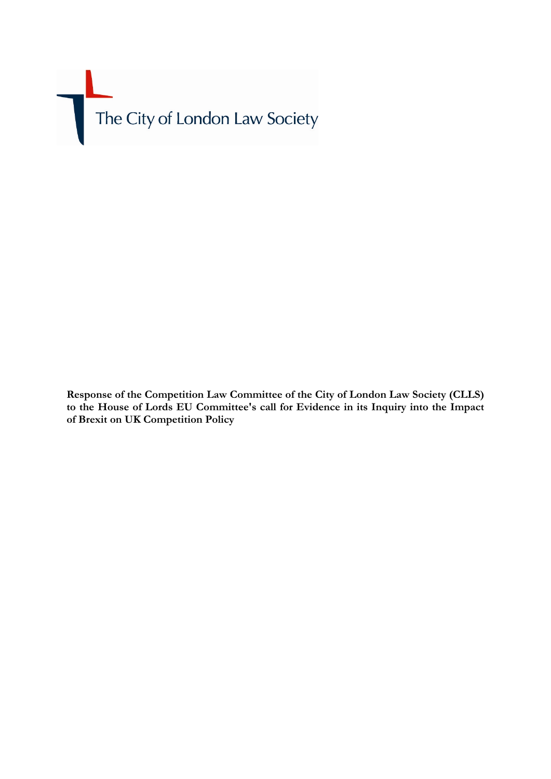The City of London Law Society

**Response of the Competition Law Committee of the City of London Law Society (CLLS) to the House of Lords EU Committee's call for Evidence in its Inquiry into the Impact of Brexit on UK Competition Policy**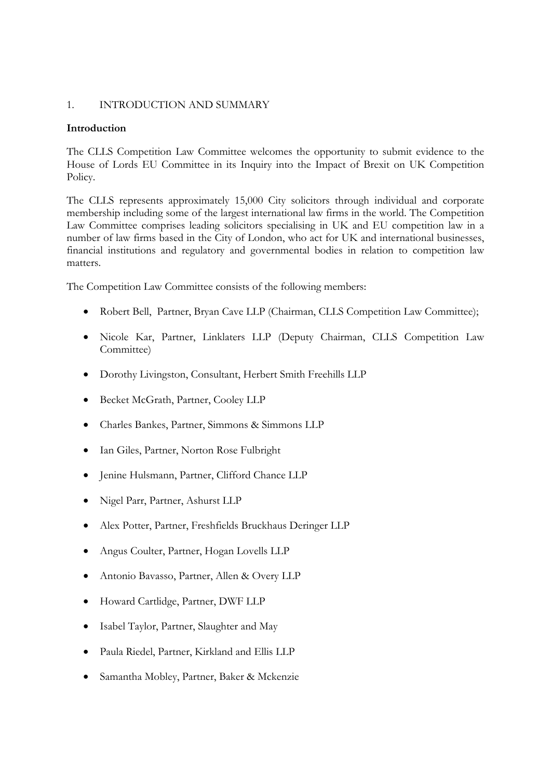## 1. INTRODUCTION AND SUMMARY

### **Introduction**

The CLLS Competition Law Committee welcomes the opportunity to submit evidence to the House of Lords EU Committee in its Inquiry into the Impact of Brexit on UK Competition Policy.

The CLLS represents approximately 15,000 City solicitors through individual and corporate membership including some of the largest international law firms in the world. The Competition Law Committee comprises leading solicitors specialising in UK and EU competition law in a number of law firms based in the City of London, who act for UK and international businesses, financial institutions and regulatory and governmental bodies in relation to competition law matters.

The Competition Law Committee consists of the following members:

- Robert Bell, Partner, Bryan Cave LLP (Chairman, CLLS Competition Law Committee);
- Nicole Kar, Partner, Linklaters LLP (Deputy Chairman, CLLS Competition Law Committee)
- Dorothy Livingston, Consultant, Herbert Smith Freehills LLP
- Becket McGrath, Partner, Cooley LLP
- Charles Bankes, Partner, Simmons & Simmons LLP
- Ian Giles, Partner, Norton Rose Fulbright
- Jenine Hulsmann, Partner, Clifford Chance LLP
- Nigel Parr, Partner, Ashurst LLP
- Alex Potter, Partner, Freshfields Bruckhaus Deringer LLP
- Angus Coulter, Partner, Hogan Lovells LLP
- Antonio Bavasso, Partner, Allen & Overy LLP
- Howard Cartlidge, Partner, DWF LLP
- Isabel Taylor, Partner, Slaughter and May
- Paula Riedel, Partner, Kirkland and Ellis LLP
- Samantha Mobley, Partner, Baker & Mckenzie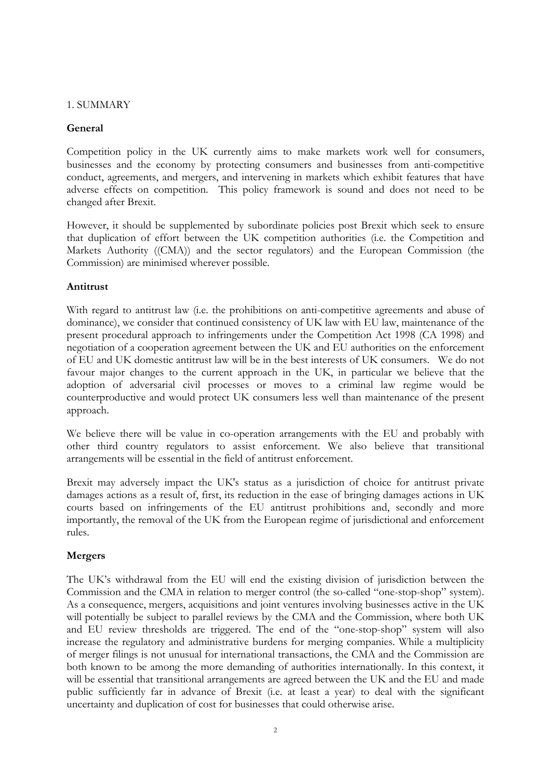## 1. SUMMARY

# **General**

Competition policy in the UK currently aims to make markets work well for consumers, businesses and the economy by protecting consumers and businesses from anti-competitive conduct, agreements, and mergers, and intervening in markets which exhibit features that have adverse effects on competition. This policy framework is sound and does not need to be changed after Brexit.

However, it should be supplemented by subordinate policies post Brexit which seek to ensure that duplication of effort between the UK competition authorities (i.e. the Competition and Markets Authority ((CMA)) and the sector regulators) and the European Commission (the Commission) are minimised wherever possible.

## **Antitrust**

With regard to antitrust law (i.e. the prohibitions on anti-competitive agreements and abuse of dominance), we consider that continued consistency of UK law with EU law, maintenance of the present procedural approach to infringements under the Competition Act 1998 (CA 1998) and negotiation of a cooperation agreement between the UK and EU authorities on the enforcement of EU and UK domestic antitrust law will be in the best interests of UK consumers. We do not favour major changes to the current approach in the UK, in particular we believe that the adoption of adversarial civil processes or moves to a criminal law regime would be counterproductive and would protect UK consumers less well than maintenance of the present approach.

We believe there will be value in co-operation arrangements with the EU and probably with other third country regulators to assist enforcement. We also believe that transitional arrangements will be essential in the field of antitrust enforcement.

Brexit may adversely impact the UK's status as a jurisdiction of choice for antitrust private damages actions as a result of, first, its reduction in the ease of bringing damages actions in UK courts based on infringements of the EU antitrust prohibitions and, secondly and more importantly, the removal of the UK from the European regime of jurisdictional and enforcement rules.

# **Mergers**

The UK's withdrawal from the EU will end the existing division of jurisdiction between the Commission and the CMA in relation to merger control (the so-called "one-stop-shop" system). As a consequence, mergers, acquisitions and joint ventures involving businesses active in the UK will potentially be subject to parallel reviews by the CMA and the Commission, where both UK and EU review thresholds are triggered. The end of the "one-stop-shop" system will also increase the regulatory and administrative burdens for merging companies. While a multiplicity of merger filings is not unusual for international transactions, the CMA and the Commission are both known to be among the more demanding of authorities internationally. In this context, it will be essential that transitional arrangements are agreed between the UK and the EU and made public sufficiently far in advance of Brexit (i.e. at least a year) to deal with the significant uncertainty and duplication of cost for businesses that could otherwise arise.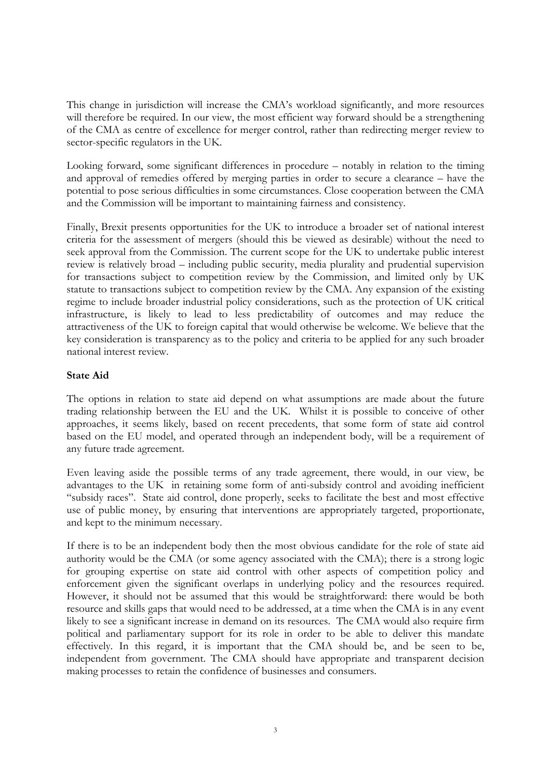This change in jurisdiction will increase the CMA's workload significantly, and more resources will therefore be required. In our view, the most efficient way forward should be a strengthening of the CMA as centre of excellence for merger control, rather than redirecting merger review to sector-specific regulators in the UK.

Looking forward, some significant differences in procedure – notably in relation to the timing and approval of remedies offered by merging parties in order to secure a clearance – have the potential to pose serious difficulties in some circumstances. Close cooperation between the CMA and the Commission will be important to maintaining fairness and consistency.

Finally, Brexit presents opportunities for the UK to introduce a broader set of national interest criteria for the assessment of mergers (should this be viewed as desirable) without the need to seek approval from the Commission. The current scope for the UK to undertake public interest review is relatively broad – including public security, media plurality and prudential supervision for transactions subject to competition review by the Commission, and limited only by UK statute to transactions subject to competition review by the CMA. Any expansion of the existing regime to include broader industrial policy considerations, such as the protection of UK critical infrastructure, is likely to lead to less predictability of outcomes and may reduce the attractiveness of the UK to foreign capital that would otherwise be welcome. We believe that the key consideration is transparency as to the policy and criteria to be applied for any such broader national interest review.

## **State Aid**

The options in relation to state aid depend on what assumptions are made about the future trading relationship between the EU and the UK. Whilst it is possible to conceive of other approaches, it seems likely, based on recent precedents, that some form of state aid control based on the EU model, and operated through an independent body, will be a requirement of any future trade agreement.

Even leaving aside the possible terms of any trade agreement, there would, in our view, be advantages to the UK in retaining some form of anti-subsidy control and avoiding inefficient "subsidy races". State aid control, done properly, seeks to facilitate the best and most effective use of public money, by ensuring that interventions are appropriately targeted, proportionate, and kept to the minimum necessary.

If there is to be an independent body then the most obvious candidate for the role of state aid authority would be the CMA (or some agency associated with the CMA); there is a strong logic for grouping expertise on state aid control with other aspects of competition policy and enforcement given the significant overlaps in underlying policy and the resources required. However, it should not be assumed that this would be straightforward: there would be both resource and skills gaps that would need to be addressed, at a time when the CMA is in any event likely to see a significant increase in demand on its resources. The CMA would also require firm political and parliamentary support for its role in order to be able to deliver this mandate effectively. In this regard, it is important that the CMA should be, and be seen to be, independent from government. The CMA should have appropriate and transparent decision making processes to retain the confidence of businesses and consumers.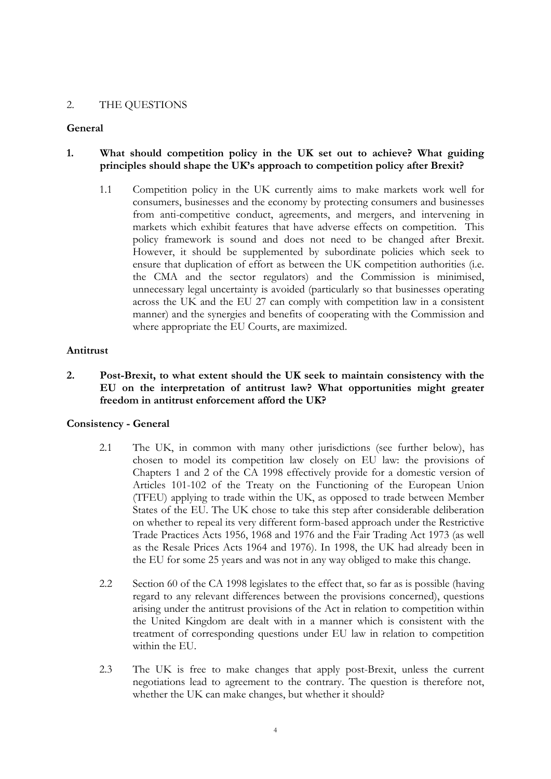## 2. THE QUESTIONS

### **General**

# **1. What should competition policy in the UK set out to achieve? What guiding principles should shape the UK's approach to competition policy after Brexit?**

1.1 Competition policy in the UK currently aims to make markets work well for consumers, businesses and the economy by protecting consumers and businesses from anti-competitive conduct, agreements, and mergers, and intervening in markets which exhibit features that have adverse effects on competition. This policy framework is sound and does not need to be changed after Brexit. However, it should be supplemented by subordinate policies which seek to ensure that duplication of effort as between the UK competition authorities (i.e. the CMA and the sector regulators) and the Commission is minimised, unnecessary legal uncertainty is avoided (particularly so that businesses operating across the UK and the EU 27 can comply with competition law in a consistent manner) and the synergies and benefits of cooperating with the Commission and where appropriate the EU Courts, are maximized.

### **Antitrust**

**2. Post-Brexit, to what extent should the UK seek to maintain consistency with the EU on the interpretation of antitrust law? What opportunities might greater freedom in antitrust enforcement afford the UK?** 

#### **Consistency - General**

- 2.1 The UK, in common with many other jurisdictions (see further below), has chosen to model its competition law closely on EU law: the provisions of Chapters 1 and 2 of the CA 1998 effectively provide for a domestic version of Articles 101-102 of the Treaty on the Functioning of the European Union (TFEU) applying to trade within the UK, as opposed to trade between Member States of the EU. The UK chose to take this step after considerable deliberation on whether to repeal its very different form-based approach under the Restrictive Trade Practices Acts 1956, 1968 and 1976 and the Fair Trading Act 1973 (as well as the Resale Prices Acts 1964 and 1976). In 1998, the UK had already been in the EU for some 25 years and was not in any way obliged to make this change.
- 2.2 Section 60 of the CA 1998 legislates to the effect that, so far as is possible (having regard to any relevant differences between the provisions concerned), questions arising under the antitrust provisions of the Act in relation to competition within the United Kingdom are dealt with in a manner which is consistent with the treatment of corresponding questions under EU law in relation to competition within the EU.
- 2.3 The UK is free to make changes that apply post-Brexit, unless the current negotiations lead to agreement to the contrary. The question is therefore not, whether the UK can make changes, but whether it should?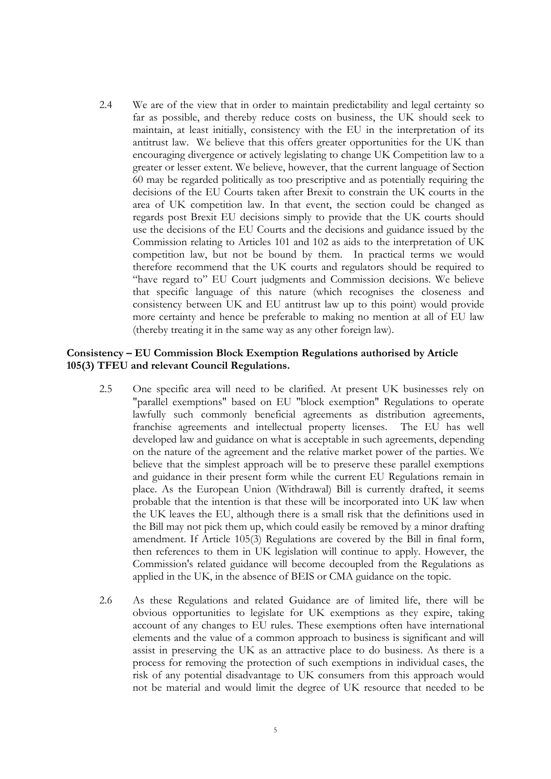2.4 We are of the view that in order to maintain predictability and legal certainty so far as possible, and thereby reduce costs on business, the UK should seek to maintain, at least initially, consistency with the EU in the interpretation of its antitrust law. We believe that this offers greater opportunities for the UK than encouraging divergence or actively legislating to change UK Competition law to a greater or lesser extent. We believe, however, that the current language of Section 60 may be regarded politically as too prescriptive and as potentially requiring the decisions of the EU Courts taken after Brexit to constrain the UK courts in the area of UK competition law. In that event, the section could be changed as regards post Brexit EU decisions simply to provide that the UK courts should use the decisions of the EU Courts and the decisions and guidance issued by the Commission relating to Articles 101 and 102 as aids to the interpretation of UK competition law, but not be bound by them. In practical terms we would therefore recommend that the UK courts and regulators should be required to "have regard to" EU Court judgments and Commission decisions. We believe that specific language of this nature (which recognises the closeness and consistency between UK and EU antitrust law up to this point) would provide more certainty and hence be preferable to making no mention at all of EU law (thereby treating it in the same way as any other foreign law).

### **Consistency – EU Commission Block Exemption Regulations authorised by Article 105(3) TFEU and relevant Council Regulations.**

- 2.5 One specific area will need to be clarified. At present UK businesses rely on "parallel exemptions" based on EU "block exemption" Regulations to operate lawfully such commonly beneficial agreements as distribution agreements, franchise agreements and intellectual property licenses. The EU has well developed law and guidance on what is acceptable in such agreements, depending on the nature of the agreement and the relative market power of the parties. We believe that the simplest approach will be to preserve these parallel exemptions and guidance in their present form while the current EU Regulations remain in place. As the European Union (Withdrawal) Bill is currently drafted, it seems probable that the intention is that these will be incorporated into UK law when the UK leaves the EU, although there is a small risk that the definitions used in the Bill may not pick them up, which could easily be removed by a minor drafting amendment. If Article 105(3) Regulations are covered by the Bill in final form, then references to them in UK legislation will continue to apply. However, the Commission's related guidance will become decoupled from the Regulations as applied in the UK, in the absence of BEIS or CMA guidance on the topic.
- 2.6 As these Regulations and related Guidance are of limited life, there will be obvious opportunities to legislate for UK exemptions as they expire, taking account of any changes to EU rules. These exemptions often have international elements and the value of a common approach to business is significant and will assist in preserving the UK as an attractive place to do business. As there is a process for removing the protection of such exemptions in individual cases, the risk of any potential disadvantage to UK consumers from this approach would not be material and would limit the degree of UK resource that needed to be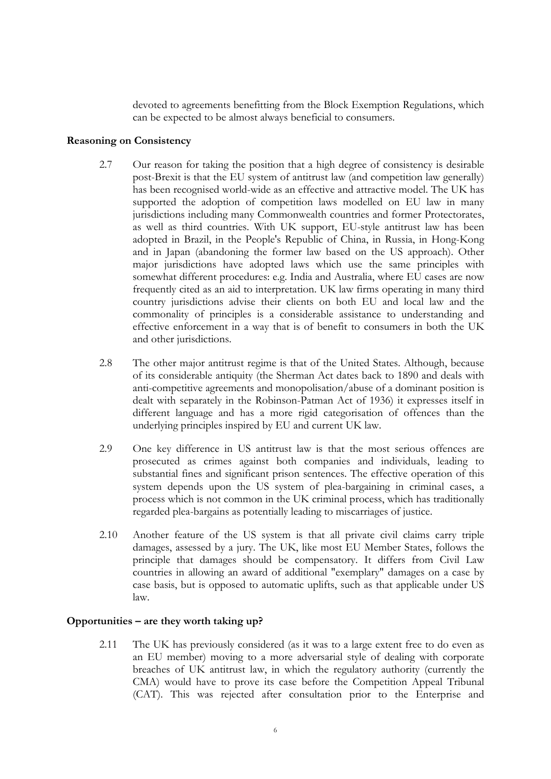devoted to agreements benefitting from the Block Exemption Regulations, which can be expected to be almost always beneficial to consumers.

### **Reasoning on Consistency**

- 2.7 Our reason for taking the position that a high degree of consistency is desirable post-Brexit is that the EU system of antitrust law (and competition law generally) has been recognised world-wide as an effective and attractive model. The UK has supported the adoption of competition laws modelled on EU law in many jurisdictions including many Commonwealth countries and former Protectorates, as well as third countries. With UK support, EU-style antitrust law has been adopted in Brazil, in the People's Republic of China, in Russia, in Hong-Kong and in Japan (abandoning the former law based on the US approach). Other major jurisdictions have adopted laws which use the same principles with somewhat different procedures: e.g. India and Australia, where EU cases are now frequently cited as an aid to interpretation. UK law firms operating in many third country jurisdictions advise their clients on both EU and local law and the commonality of principles is a considerable assistance to understanding and effective enforcement in a way that is of benefit to consumers in both the UK and other jurisdictions.
- 2.8 The other major antitrust regime is that of the United States. Although, because of its considerable antiquity (the Sherman Act dates back to 1890 and deals with anti-competitive agreements and monopolisation/abuse of a dominant position is dealt with separately in the Robinson-Patman Act of 1936) it expresses itself in different language and has a more rigid categorisation of offences than the underlying principles inspired by EU and current UK law.
- 2.9 One key difference in US antitrust law is that the most serious offences are prosecuted as crimes against both companies and individuals, leading to substantial fines and significant prison sentences. The effective operation of this system depends upon the US system of plea-bargaining in criminal cases, a process which is not common in the UK criminal process, which has traditionally regarded plea-bargains as potentially leading to miscarriages of justice.
- 2.10 Another feature of the US system is that all private civil claims carry triple damages, assessed by a jury. The UK, like most EU Member States, follows the principle that damages should be compensatory. It differs from Civil Law countries in allowing an award of additional "exemplary" damages on a case by case basis, but is opposed to automatic uplifts, such as that applicable under US law.

## **Opportunities – are they worth taking up?**

2.11 The UK has previously considered (as it was to a large extent free to do even as an EU member) moving to a more adversarial style of dealing with corporate breaches of UK antitrust law, in which the regulatory authority (currently the CMA) would have to prove its case before the Competition Appeal Tribunal (CAT). This was rejected after consultation prior to the Enterprise and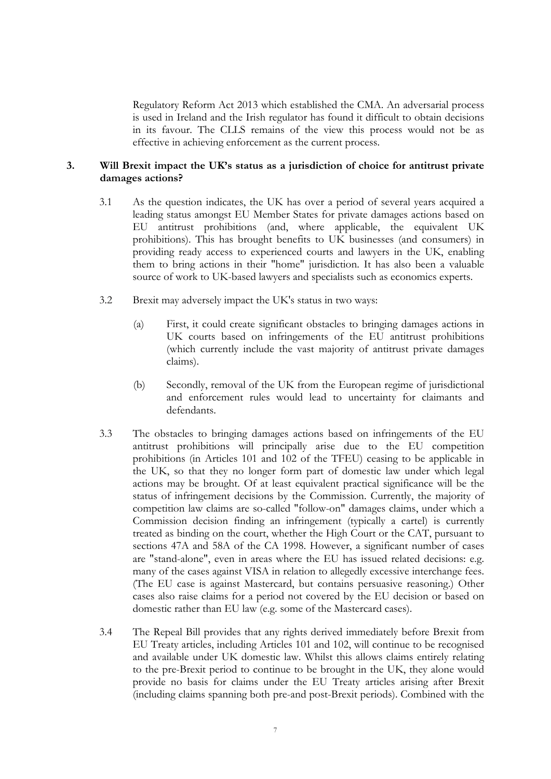Regulatory Reform Act 2013 which established the CMA. An adversarial process is used in Ireland and the Irish regulator has found it difficult to obtain decisions in its favour. The CLLS remains of the view this process would not be as effective in achieving enforcement as the current process.

### **3. Will Brexit impact the UK's status as a jurisdiction of choice for antitrust private damages actions?**

- 3.1 As the question indicates, the UK has over a period of several years acquired a leading status amongst EU Member States for private damages actions based on EU antitrust prohibitions (and, where applicable, the equivalent UK prohibitions). This has brought benefits to UK businesses (and consumers) in providing ready access to experienced courts and lawyers in the UK, enabling them to bring actions in their "home" jurisdiction. It has also been a valuable source of work to UK-based lawyers and specialists such as economics experts.
- 3.2 Brexit may adversely impact the UK's status in two ways:
	- (a) First, it could create significant obstacles to bringing damages actions in UK courts based on infringements of the EU antitrust prohibitions (which currently include the vast majority of antitrust private damages claims).
	- (b) Secondly, removal of the UK from the European regime of jurisdictional and enforcement rules would lead to uncertainty for claimants and defendants.
- 3.3 The obstacles to bringing damages actions based on infringements of the EU antitrust prohibitions will principally arise due to the EU competition prohibitions (in Articles 101 and 102 of the TFEU) ceasing to be applicable in the UK, so that they no longer form part of domestic law under which legal actions may be brought. Of at least equivalent practical significance will be the status of infringement decisions by the Commission. Currently, the majority of competition law claims are so-called "follow-on" damages claims, under which a Commission decision finding an infringement (typically a cartel) is currently treated as binding on the court, whether the High Court or the CAT, pursuant to sections 47A and 58A of the CA 1998. However, a significant number of cases are "stand-alone", even in areas where the EU has issued related decisions: e.g. many of the cases against VISA in relation to allegedly excessive interchange fees. (The EU case is against Mastercard, but contains persuasive reasoning.) Other cases also raise claims for a period not covered by the EU decision or based on domestic rather than EU law (e.g. some of the Mastercard cases).
- 3.4 The Repeal Bill provides that any rights derived immediately before Brexit from EU Treaty articles, including Articles 101 and 102, will continue to be recognised and available under UK domestic law. Whilst this allows claims entirely relating to the pre-Brexit period to continue to be brought in the UK, they alone would provide no basis for claims under the EU Treaty articles arising after Brexit (including claims spanning both pre-and post-Brexit periods). Combined with the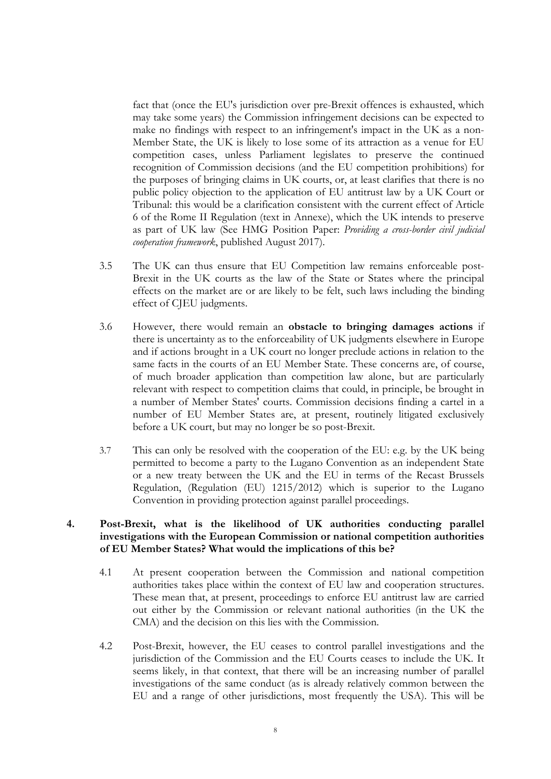fact that (once the EU's jurisdiction over pre-Brexit offences is exhausted, which may take some years) the Commission infringement decisions can be expected to make no findings with respect to an infringement's impact in the UK as a non-Member State, the UK is likely to lose some of its attraction as a venue for EU competition cases, unless Parliament legislates to preserve the continued recognition of Commission decisions (and the EU competition prohibitions) for the purposes of bringing claims in UK courts, or, at least clarifies that there is no public policy objection to the application of EU antitrust law by a UK Court or Tribunal: this would be a clarification consistent with the current effect of Article 6 of the Rome II Regulation (text in Annexe), which the UK intends to preserve as part of UK law (See HMG Position Paper: *Providing a cross-border civil judicial cooperation framework*, published August 2017).

- 3.5 The UK can thus ensure that EU Competition law remains enforceable post-Brexit in the UK courts as the law of the State or States where the principal effects on the market are or are likely to be felt, such laws including the binding effect of CJEU judgments.
- 3.6 However, there would remain an **obstacle to bringing damages actions** if there is uncertainty as to the enforceability of UK judgments elsewhere in Europe and if actions brought in a UK court no longer preclude actions in relation to the same facts in the courts of an EU Member State. These concerns are, of course, of much broader application than competition law alone, but are particularly relevant with respect to competition claims that could, in principle, be brought in a number of Member States' courts. Commission decisions finding a cartel in a number of EU Member States are, at present, routinely litigated exclusively before a UK court, but may no longer be so post-Brexit.
- 3.7 This can only be resolved with the cooperation of the EU: e.g. by the UK being permitted to become a party to the Lugano Convention as an independent State or a new treaty between the UK and the EU in terms of the Recast Brussels Regulation, (Regulation (EU) 1215/2012) which is superior to the Lugano Convention in providing protection against parallel proceedings.

## **4. Post-Brexit, what is the likelihood of UK authorities conducting parallel investigations with the European Commission or national competition authorities of EU Member States? What would the implications of this be?**

- 4.1 At present cooperation between the Commission and national competition authorities takes place within the context of EU law and cooperation structures. These mean that, at present, proceedings to enforce EU antitrust law are carried out either by the Commission or relevant national authorities (in the UK the CMA) and the decision on this lies with the Commission.
- 4.2 Post-Brexit, however, the EU ceases to control parallel investigations and the jurisdiction of the Commission and the EU Courts ceases to include the UK. It seems likely, in that context, that there will be an increasing number of parallel investigations of the same conduct (as is already relatively common between the EU and a range of other jurisdictions, most frequently the USA). This will be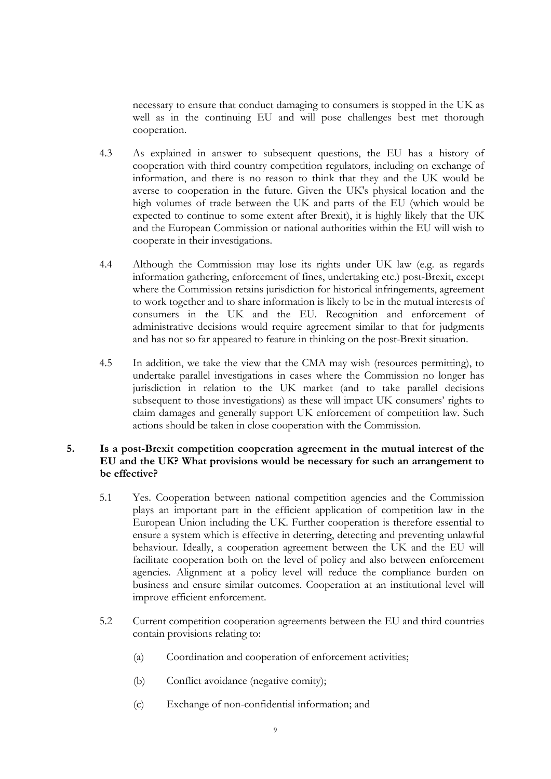necessary to ensure that conduct damaging to consumers is stopped in the UK as well as in the continuing EU and will pose challenges best met thorough cooperation.

- 4.3 As explained in answer to subsequent questions, the EU has a history of cooperation with third country competition regulators, including on exchange of information, and there is no reason to think that they and the UK would be averse to cooperation in the future. Given the UK's physical location and the high volumes of trade between the UK and parts of the EU (which would be expected to continue to some extent after Brexit), it is highly likely that the UK and the European Commission or national authorities within the EU will wish to cooperate in their investigations.
- 4.4 Although the Commission may lose its rights under UK law (e.g. as regards information gathering, enforcement of fines, undertaking etc.) post-Brexit, except where the Commission retains jurisdiction for historical infringements, agreement to work together and to share information is likely to be in the mutual interests of consumers in the UK and the EU. Recognition and enforcement of administrative decisions would require agreement similar to that for judgments and has not so far appeared to feature in thinking on the post-Brexit situation.
- 4.5 In addition, we take the view that the CMA may wish (resources permitting), to undertake parallel investigations in cases where the Commission no longer has jurisdiction in relation to the UK market (and to take parallel decisions subsequent to those investigations) as these will impact UK consumers' rights to claim damages and generally support UK enforcement of competition law. Such actions should be taken in close cooperation with the Commission.

## <span id="page-9-0"></span>**5. Is a post-Brexit competition cooperation agreement in the mutual interest of the EU and the UK? What provisions would be necessary for such an arrangement to be effective?**

- 5.1 Yes. Cooperation between national competition agencies and the Commission plays an important part in the efficient application of competition law in the European Union including the UK. Further cooperation is therefore essential to ensure a system which is effective in deterring, detecting and preventing unlawful behaviour. Ideally, a cooperation agreement between the UK and the EU will facilitate cooperation both on the level of policy and also between enforcement agencies. Alignment at a policy level will reduce the compliance burden on business and ensure similar outcomes. Cooperation at an institutional level will improve efficient enforcement.
- 5.2 Current competition cooperation agreements between the EU and third countries contain provisions relating to:
	- (a) Coordination and cooperation of enforcement activities;
	- (b) Conflict avoidance (negative comity);
	- (c) Exchange of non-confidential information; and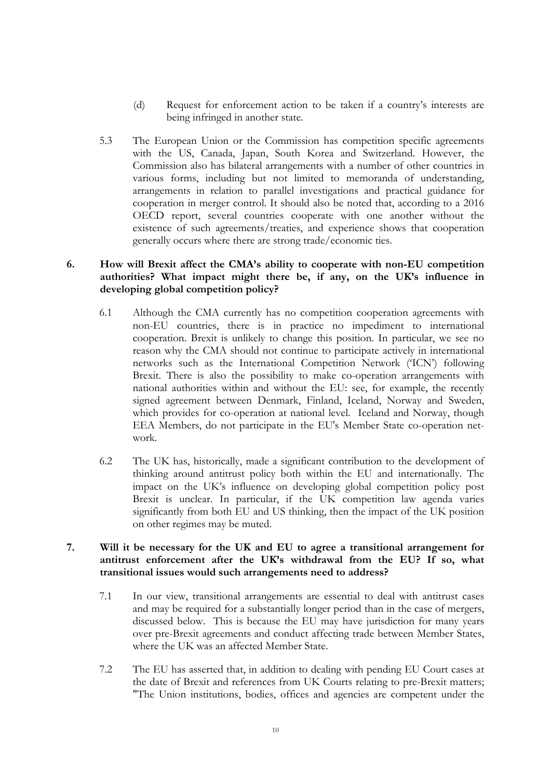- (d) Request for enforcement action to be taken if a country's interests are being infringed in another state.
- 5.3 The European Union or the Commission has competition specific agreements with the US, Canada, Japan, South Korea and Switzerland. However, the Commission also has bilateral arrangements with a number of other countries in various forms, including but not limited to memoranda of understanding, arrangements in relation to parallel investigations and practical guidance for cooperation in merger control. It should also be noted that, according to a 2016 OECD report, several countries cooperate with one another without the existence of such agreements/treaties, and experience shows that cooperation generally occurs where there are strong trade/economic ties.

## **6. How will Brexit affect the CMA's ability to cooperate with non-EU competition authorities? What impact might there be, if any, on the UK's influence in developing global competition policy?**

- 6.1 Although the CMA currently has no competition cooperation agreements with non-EU countries, there is in practice no impediment to international cooperation. Brexit is unlikely to change this position. In particular, we see no reason why the CMA should not continue to participate actively in international networks such as the International Competition Network ('ICN') following Brexit. There is also the possibility to make co-operation arrangements with national authorities within and without the EU: see, for example, the recently signed agreement between Denmark, Finland, Iceland, Norway and Sweden, which provides for co-operation at national level. Iceland and Norway, though EEA Members, do not participate in the EU's Member State co-operation network.
- 6.2 The UK has, historically, made a significant contribution to the development of thinking around antitrust policy both within the EU and internationally. The impact on the UK's influence on developing global competition policy post Brexit is unclear. In particular, if the UK competition law agenda varies significantly from both EU and US thinking, then the impact of the UK position on other regimes may be muted.

## **7. Will it be necessary for the UK and EU to agree a transitional arrangement for antitrust enforcement after the UK's withdrawal from the EU? If so, what transitional issues would such arrangements need to address?**

- 7.1 In our view, transitional arrangements are essential to deal with antitrust cases and may be required for a substantially longer period than in the case of mergers, discussed below. This is because the EU may have jurisdiction for many years over pre-Brexit agreements and conduct affecting trade between Member States, where the UK was an affected Member State.
- 7.2 The EU has asserted that, in addition to dealing with pending EU Court cases at the date of Brexit and references from UK Courts relating to pre-Brexit matters; "The Union institutions, bodies, offices and agencies are competent under the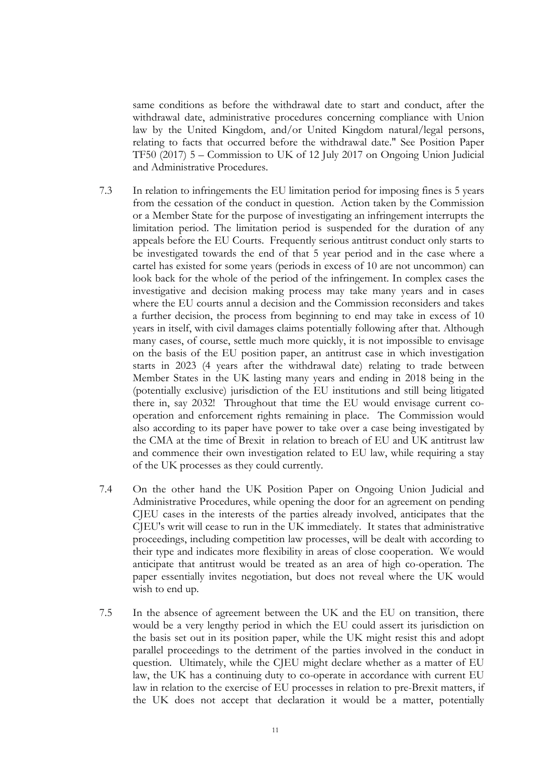same conditions as before the withdrawal date to start and conduct, after the withdrawal date, administrative procedures concerning compliance with Union law by the United Kingdom, and/or United Kingdom natural/legal persons, relating to facts that occurred before the withdrawal date." See Position Paper TF50 (2017) 5 – Commission to UK of 12 July 2017 on Ongoing Union Judicial and Administrative Procedures.

- 7.3 In relation to infringements the EU limitation period for imposing fines is 5 years from the cessation of the conduct in question. Action taken by the Commission or a Member State for the purpose of investigating an infringement interrupts the limitation period. The limitation period is suspended for the duration of any appeals before the EU Courts. Frequently serious antitrust conduct only starts to be investigated towards the end of that 5 year period and in the case where a cartel has existed for some years (periods in excess of 10 are not uncommon) can look back for the whole of the period of the infringement. In complex cases the investigative and decision making process may take many years and in cases where the EU courts annul a decision and the Commission reconsiders and takes a further decision, the process from beginning to end may take in excess of 10 years in itself, with civil damages claims potentially following after that. Although many cases, of course, settle much more quickly, it is not impossible to envisage on the basis of the EU position paper, an antitrust case in which investigation starts in 2023 (4 years after the withdrawal date) relating to trade between Member States in the UK lasting many years and ending in 2018 being in the (potentially exclusive) jurisdiction of the EU institutions and still being litigated there in, say 2032! Throughout that time the EU would envisage current cooperation and enforcement rights remaining in place. The Commission would also according to its paper have power to take over a case being investigated by the CMA at the time of Brexit in relation to breach of EU and UK antitrust law and commence their own investigation related to EU law, while requiring a stay of the UK processes as they could currently.
- 7.4 On the other hand the UK Position Paper on Ongoing Union Judicial and Administrative Procedures, while opening the door for an agreement on pending CJEU cases in the interests of the parties already involved, anticipates that the CJEU's writ will cease to run in the UK immediately. It states that administrative proceedings, including competition law processes, will be dealt with according to their type and indicates more flexibility in areas of close cooperation. We would anticipate that antitrust would be treated as an area of high co-operation. The paper essentially invites negotiation, but does not reveal where the UK would wish to end up.
- 7.5 In the absence of agreement between the UK and the EU on transition, there would be a very lengthy period in which the EU could assert its jurisdiction on the basis set out in its position paper, while the UK might resist this and adopt parallel proceedings to the detriment of the parties involved in the conduct in question. Ultimately, while the CJEU might declare whether as a matter of EU law, the UK has a continuing duty to co-operate in accordance with current EU law in relation to the exercise of EU processes in relation to pre-Brexit matters, if the UK does not accept that declaration it would be a matter, potentially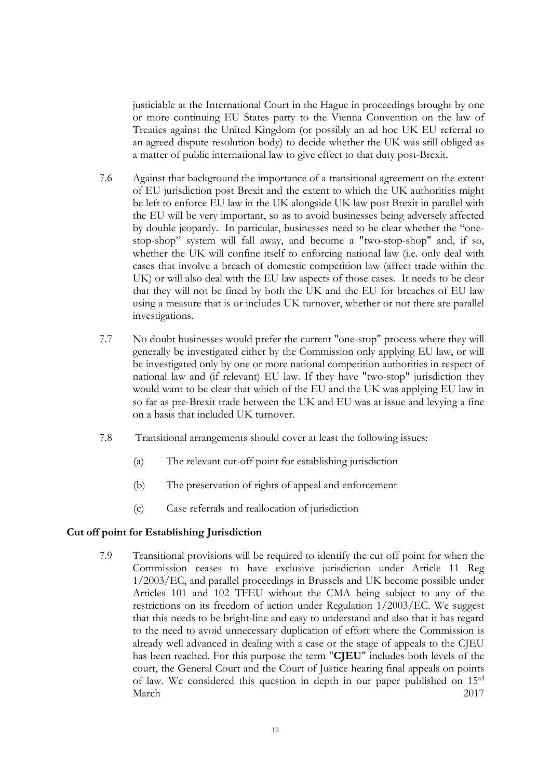justiciable at the International Court in the Hague in proceedings brought by one or more continuing EU States party to the Vienna Convention on the law of Treaties against the United Kingdom (or possibly an ad hoc UK EU referral to an agreed dispute resolution body) to decide whether the UK was still obliged as a matter of public international law to give effect to that duty post-Brexit.

- 7.6 Against that background the importance of a transitional agreement on the extent of EU jurisdiction post Brexit and the extent to which the UK authorities might be left to enforce EU law in the UK alongside UK law post Brexit in parallel with the EU will be very important, so as to avoid businesses being adversely affected by double jeopardy. In particular, businesses need to be clear whether the "onestop-shop" system will fall away, and become a "two-stop-shop" and, if so, whether the UK will confine itself to enforcing national law (i.e. only deal with cases that involve a breach of domestic competition law (affect trade within the UK) or will also deal with the EU law aspects of those cases. It needs to be clear that they will not be fined by both the UK and the EU for breaches of EU law using a measure that is or includes UK turnover, whether or not there are parallel investigations.
- 7.7 No doubt businesses would prefer the current "one-stop" process where they will generally be investigated either by the Commission only applying EU law, or will be investigated only by one or more national competition authorities in respect of national law and (if relevant) EU law. If they have "two-stop" jurisdiction they would want to be clear that which of the EU and the UK was applying EU law in so far as pre-Brexit trade between the UK and EU was at issue and levying a fine on a basis that included UK turnover.
- 7.8 Transitional arrangements should cover at least the following issues:
	- (a) The relevant cut-off point for establishing jurisdiction
	- (b) The preservation of rights of appeal and enforcement
	- (c) Case referrals and reallocation of jurisdiction

#### **Cut off point for Establishing Jurisdiction**

7.9 Transitional provisions will be required to identify the cut off point for when the Commission ceases to have exclusive jurisdiction under Article 11 Reg 1/2003/EC, and parallel proceedings in Brussels and UK become possible under Articles 101 and 102 TFEU without the CMA being subject to any of the restrictions on its freedom of action under Regulation 1/2003/EC. We suggest that this needs to be bright-line and easy to understand and also that it has regard to the need to avoid unnecessary duplication of effort where the Commission is already well advanced in dealing with a case or the stage of appeals to the CJEU has been reached. For this purpose the term "**CJEU**" includes both levels of the court, the General Court and the Court of Justice hearing final appeals on points of law. We considered this question in depth in our paper published on 15rd March 2017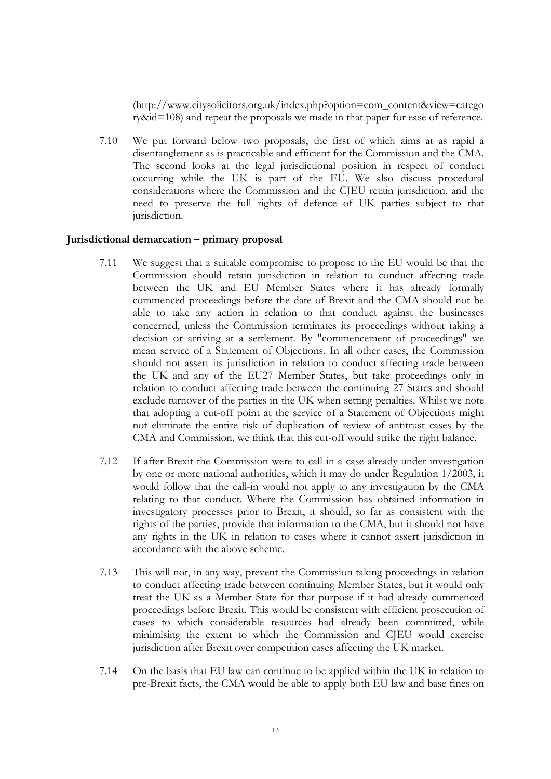(http://www.citysolicitors.org.uk/index.php?option=com\_content&view=catego ry&id=108) and repeat the proposals we made in that paper for ease of reference.

7.10 We put forward below two proposals, the first of which aims at as rapid a disentanglement as is practicable and efficient for the Commission and the CMA. The second looks at the legal jurisdictional position in respect of conduct occurring while the UK is part of the EU. We also discuss procedural considerations where the Commission and the CJEU retain jurisdiction, and the need to preserve the full rights of defence of UK parties subject to that jurisdiction.

### **Jurisdictional demarcation – primary proposal**

- 7.11 We suggest that a suitable compromise to propose to the EU would be that the Commission should retain jurisdiction in relation to conduct affecting trade between the UK and EU Member States where it has already formally commenced proceedings before the date of Brexit and the CMA should not be able to take any action in relation to that conduct against the businesses concerned, unless the Commission terminates its proceedings without taking a decision or arriving at a settlement. By "commencement of proceedings" we mean service of a Statement of Objections. In all other cases, the Commission should not assert its jurisdiction in relation to conduct affecting trade between the UK and any of the EU27 Member States, but take proceedings only in relation to conduct affecting trade between the continuing 27 States and should exclude turnover of the parties in the UK when setting penalties. Whilst we note that adopting a cut-off point at the service of a Statement of Objections might not eliminate the entire risk of duplication of review of antitrust cases by the CMA and Commission, we think that this cut-off would strike the right balance.
- 7.12 If after Brexit the Commission were to call in a case already under investigation by one or more national authorities, which it may do under Regulation 1/2003, it would follow that the call-in would not apply to any investigation by the CMA relating to that conduct. Where the Commission has obtained information in investigatory processes prior to Brexit, it should, so far as consistent with the rights of the parties, provide that information to the CMA, but it should not have any rights in the UK in relation to cases where it cannot assert jurisdiction in accordance with the above scheme.
- 7.13 This will not, in any way, prevent the Commission taking proceedings in relation to conduct affecting trade between continuing Member States, but it would only treat the UK as a Member State for that purpose if it had already commenced proceedings before Brexit. This would be consistent with efficient prosecution of cases to which considerable resources had already been committed, while minimising the extent to which the Commission and CJEU would exercise jurisdiction after Brexit over competition cases affecting the UK market.
- 7.14 On the basis that EU law can continue to be applied within the UK in relation to pre-Brexit facts, the CMA would be able to apply both EU law and base fines on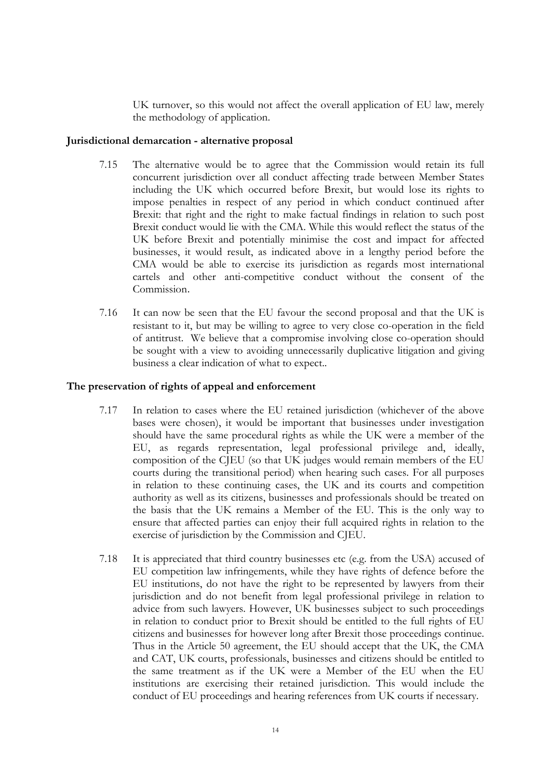UK turnover, so this would not affect the overall application of EU law, merely the methodology of application.

### **Jurisdictional demarcation - alternative proposal**

- 7.15 The alternative would be to agree that the Commission would retain its full concurrent jurisdiction over all conduct affecting trade between Member States including the UK which occurred before Brexit, but would lose its rights to impose penalties in respect of any period in which conduct continued after Brexit: that right and the right to make factual findings in relation to such post Brexit conduct would lie with the CMA. While this would reflect the status of the UK before Brexit and potentially minimise the cost and impact for affected businesses, it would result, as indicated above in a lengthy period before the CMA would be able to exercise its jurisdiction as regards most international cartels and other anti-competitive conduct without the consent of the Commission.
- 7.16 It can now be seen that the EU favour the second proposal and that the UK is resistant to it, but may be willing to agree to very close co-operation in the field of antitrust. We believe that a compromise involving close co-operation should be sought with a view to avoiding unnecessarily duplicative litigation and giving business a clear indication of what to expect..

### **The preservation of rights of appeal and enforcement**

- 7.17 In relation to cases where the EU retained jurisdiction (whichever of the above bases were chosen), it would be important that businesses under investigation should have the same procedural rights as while the UK were a member of the EU, as regards representation, legal professional privilege and, ideally, composition of the CJEU (so that UK judges would remain members of the EU courts during the transitional period) when hearing such cases. For all purposes in relation to these continuing cases, the UK and its courts and competition authority as well as its citizens, businesses and professionals should be treated on the basis that the UK remains a Member of the EU. This is the only way to ensure that affected parties can enjoy their full acquired rights in relation to the exercise of jurisdiction by the Commission and CJEU.
- 7.18 It is appreciated that third country businesses etc (e.g. from the USA) accused of EU competition law infringements, while they have rights of defence before the EU institutions, do not have the right to be represented by lawyers from their jurisdiction and do not benefit from legal professional privilege in relation to advice from such lawyers. However, UK businesses subject to such proceedings in relation to conduct prior to Brexit should be entitled to the full rights of EU citizens and businesses for however long after Brexit those proceedings continue. Thus in the Article 50 agreement, the EU should accept that the UK, the CMA and CAT, UK courts, professionals, businesses and citizens should be entitled to the same treatment as if the UK were a Member of the EU when the EU institutions are exercising their retained jurisdiction. This would include the conduct of EU proceedings and hearing references from UK courts if necessary.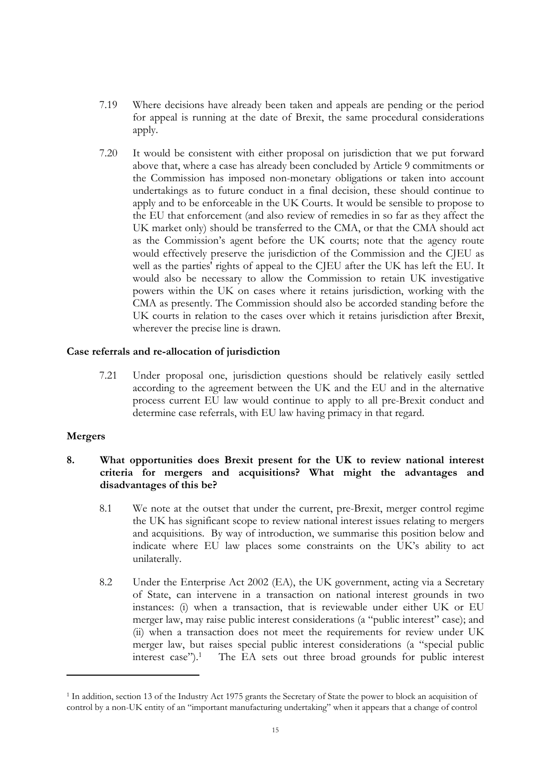- 7.19 Where decisions have already been taken and appeals are pending or the period for appeal is running at the date of Brexit, the same procedural considerations apply.
- 7.20 It would be consistent with either proposal on jurisdiction that we put forward above that, where a case has already been concluded by Article 9 commitments or the Commission has imposed non-monetary obligations or taken into account undertakings as to future conduct in a final decision, these should continue to apply and to be enforceable in the UK Courts. It would be sensible to propose to the EU that enforcement (and also review of remedies in so far as they affect the UK market only) should be transferred to the CMA, or that the CMA should act as the Commission's agent before the UK courts; note that the agency route would effectively preserve the jurisdiction of the Commission and the CJEU as well as the parties' rights of appeal to the CJEU after the UK has left the EU. It would also be necessary to allow the Commission to retain UK investigative powers within the UK on cases where it retains jurisdiction, working with the CMA as presently. The Commission should also be accorded standing before the UK courts in relation to the cases over which it retains jurisdiction after Brexit, wherever the precise line is drawn.

#### **Case referrals and re-allocation of jurisdiction**

7.21 Under proposal one, jurisdiction questions should be relatively easily settled according to the agreement between the UK and the EU and in the alternative process current EU law would continue to apply to all pre-Brexit conduct and determine case referrals, with EU law having primacy in that regard.

#### **Mergers**

## <span id="page-15-0"></span>**8. What opportunities does Brexit present for the UK to review national interest criteria for mergers and acquisitions? What might the advantages and disadvantages of this be?**

- 8.1 We note at the outset that under the current, pre-Brexit, merger control regime the UK has significant scope to review national interest issues relating to mergers and acquisitions. By way of introduction, we summarise this position below and indicate where EU law places some constraints on the UK's ability to act unilaterally.
- 8.2 Under the Enterprise Act 2002 (EA), the UK government, acting via a Secretary of State, can intervene in a transaction on national interest grounds in two instances: (i) when a transaction, that is reviewable under either UK or EU merger law, may raise public interest considerations (a "public interest" case); and (ii) when a transaction does not meet the requirements for review under UK merger law, but raises special public interest considerations (a "special public interest case").<sup>1</sup> The EA sets out three broad grounds for public interest

<sup>&</sup>lt;sup>1</sup> In addition, section 13 of the Industry Act 1975 grants the Secretary of State the power to block an acquisition of control by a non-UK entity of an "important manufacturing undertaking" when it appears that a change of control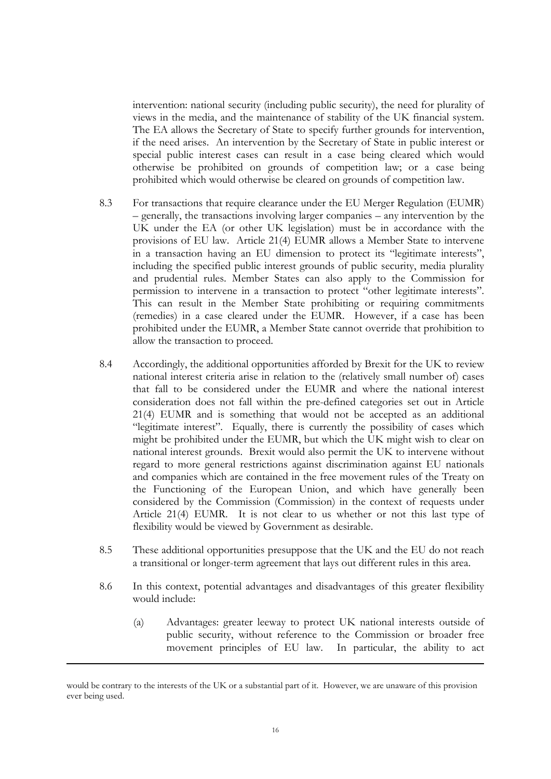intervention: national security (including public security), the need for plurality of views in the media, and the maintenance of stability of the UK financial system. The EA allows the Secretary of State to specify further grounds for intervention, if the need arises. An intervention by the Secretary of State in public interest or special public interest cases can result in a case being cleared which would otherwise be prohibited on grounds of competition law; or a case being prohibited which would otherwise be cleared on grounds of competition law.

- 8.3 For transactions that require clearance under the EU Merger Regulation (EUMR) – generally, the transactions involving larger companies – any intervention by the UK under the EA (or other UK legislation) must be in accordance with the provisions of EU law. Article 21(4) EUMR allows a Member State to intervene in a transaction having an EU dimension to protect its "legitimate interests", including the specified public interest grounds of public security, media plurality and prudential rules. Member States can also apply to the Commission for permission to intervene in a transaction to protect "other legitimate interests". This can result in the Member State prohibiting or requiring commitments (remedies) in a case cleared under the EUMR. However, if a case has been prohibited under the EUMR, a Member State cannot override that prohibition to allow the transaction to proceed.
- 8.4 Accordingly, the additional opportunities afforded by Brexit for the UK to review national interest criteria arise in relation to the (relatively small number of) cases that fall to be considered under the EUMR and where the national interest consideration does not fall within the pre-defined categories set out in Article 21(4) EUMR and is something that would not be accepted as an additional "legitimate interest". Equally, there is currently the possibility of cases which might be prohibited under the EUMR, but which the UK might wish to clear on national interest grounds. Brexit would also permit the UK to intervene without regard to more general restrictions against discrimination against EU nationals and companies which are contained in the free movement rules of the Treaty on the Functioning of the European Union, and which have generally been considered by the Commission (Commission) in the context of requests under Article 21(4) EUMR. It is not clear to us whether or not this last type of flexibility would be viewed by Government as desirable.
- 8.5 These additional opportunities presuppose that the UK and the EU do not reach a transitional or longer-term agreement that lays out different rules in this area.
- 8.6 In this context, potential advantages and disadvantages of this greater flexibility would include:
	- (a) Advantages: greater leeway to protect UK national interests outside of public security, without reference to the Commission or broader free movement principles of EU law. In particular, the ability to act

would be contrary to the interests of the UK or a substantial part of it. However, we are unaware of this provision ever being used.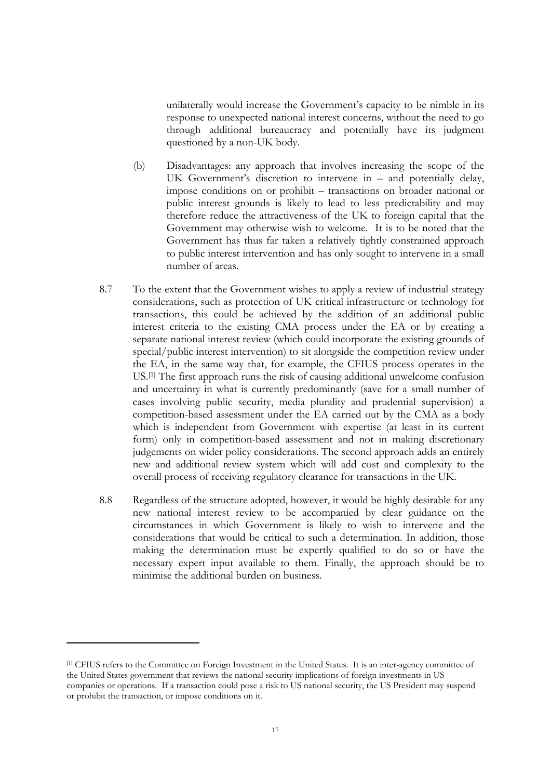unilaterally would increase the Government's capacity to be nimble in its response to unexpected national interest concerns, without the need to go through additional bureaucracy and potentially have its judgment questioned by a non-UK body.

- (b) Disadvantages: any approach that involves increasing the scope of the UK Government's discretion to intervene in – and potentially delay, impose conditions on or prohibit – transactions on broader national or public interest grounds is likely to lead to less predictability and may therefore reduce the attractiveness of the UK to foreign capital that the Government may otherwise wish to welcome. It is to be noted that the Government has thus far taken a relatively tightly constrained approach to public interest intervention and has only sought to intervene in a small number of areas.
- 8.7 To the extent that the Government wishes to apply a review of industrial strategy considerations, such as protection of UK critical infrastructure or technology for transactions, this could be achieved by the addition of an additional public interest criteria to the existing CMA process under the EA or by creating a separate national interest review (which could incorporate the existing grounds of special/public interest intervention) to sit alongside the competition review under the EA, in the same way that, for example, the CFIUS process operates in the US.[1] The first approach runs the risk of causing additional unwelcome confusion and uncertainty in what is currently predominantly (save for a small number of cases involving public security, media plurality and prudential supervision) a competition-based assessment under the EA carried out by the CMA as a body which is independent from Government with expertise (at least in its current form) only in competition-based assessment and not in making discretionary judgements on wider policy considerations. The second approach adds an entirely new and additional review system which will add cost and complexity to the overall process of receiving regulatory clearance for transactions in the UK.
- 8.8 Regardless of the structure adopted, however, it would be highly desirable for any new national interest review to be accompanied by clear guidance on the circumstances in which Government is likely to wish to intervene and the considerations that would be critical to such a determination. In addition, those making the determination must be expertly qualified to do so or have the necessary expert input available to them. Finally, the approach should be to minimise the additional burden on business.

<sup>[1]</sup> CFIUS refers to the Committee on Foreign Investment in the United States. It is an inter-agency committee of the United States government that reviews the national security implications of foreign investments in US companies or operations. If a transaction could pose a risk to US national security, the US President may suspend or prohibit the transaction, or impose conditions on it.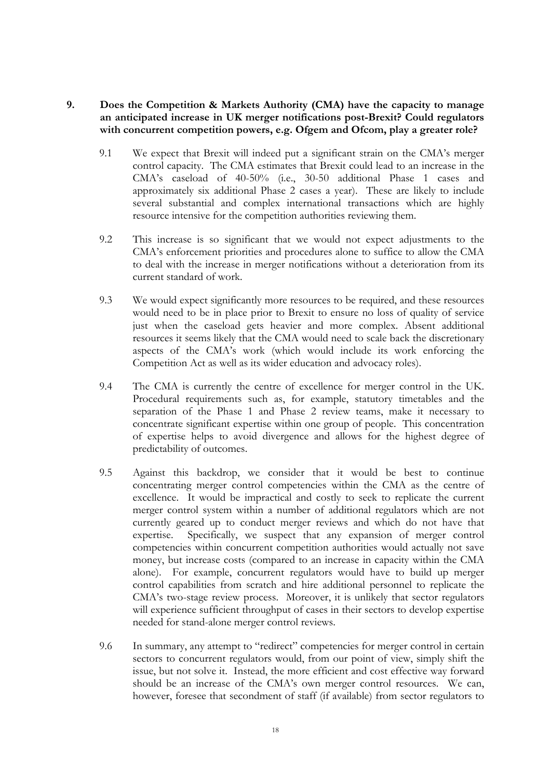## **9. Does the Competition & Markets Authority (CMA) have the capacity to manage an anticipated increase in UK merger notifications post-Brexit? Could regulators with concurrent competition powers, e.g. Ofgem and Ofcom, play a greater role?**

- 9.1 We expect that Brexit will indeed put a significant strain on the CMA's merger control capacity. The CMA estimates that Brexit could lead to an increase in the CMA's caseload of 40-50% (i.e., 30-50 additional Phase 1 cases and approximately six additional Phase 2 cases a year). These are likely to include several substantial and complex international transactions which are highly resource intensive for the competition authorities reviewing them.
- 9.2 This increase is so significant that we would not expect adjustments to the CMA's enforcement priorities and procedures alone to suffice to allow the CMA to deal with the increase in merger notifications without a deterioration from its current standard of work.
- 9.3 We would expect significantly more resources to be required, and these resources would need to be in place prior to Brexit to ensure no loss of quality of service just when the caseload gets heavier and more complex. Absent additional resources it seems likely that the CMA would need to scale back the discretionary aspects of the CMA's work (which would include its work enforcing the Competition Act as well as its wider education and advocacy roles).
- 9.4 The CMA is currently the centre of excellence for merger control in the UK. Procedural requirements such as, for example, statutory timetables and the separation of the Phase 1 and Phase 2 review teams, make it necessary to concentrate significant expertise within one group of people. This concentration of expertise helps to avoid divergence and allows for the highest degree of predictability of outcomes.
- 9.5 Against this backdrop, we consider that it would be best to continue concentrating merger control competencies within the CMA as the centre of excellence. It would be impractical and costly to seek to replicate the current merger control system within a number of additional regulators which are not currently geared up to conduct merger reviews and which do not have that expertise. Specifically, we suspect that any expansion of merger control competencies within concurrent competition authorities would actually not save money, but increase costs (compared to an increase in capacity within the CMA alone). For example, concurrent regulators would have to build up merger control capabilities from scratch and hire additional personnel to replicate the CMA's two-stage review process. Moreover, it is unlikely that sector regulators will experience sufficient throughput of cases in their sectors to develop expertise needed for stand-alone merger control reviews.
- 9.6 In summary, any attempt to "redirect" competencies for merger control in certain sectors to concurrent regulators would, from our point of view, simply shift the issue, but not solve it. Instead, the more efficient and cost effective way forward should be an increase of the CMA's own merger control resources. We can, however, foresee that secondment of staff (if available) from sector regulators to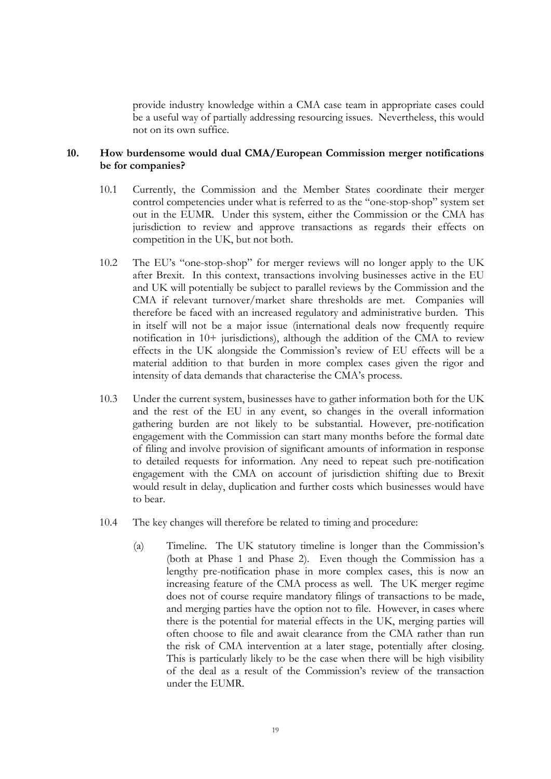provide industry knowledge within a CMA case team in appropriate cases could be a useful way of partially addressing resourcing issues. Nevertheless, this would not on its own suffice.

### **10. How burdensome would dual CMA/European Commission merger notifications be for companies?**

- 10.1 Currently, the Commission and the Member States coordinate their merger control competencies under what is referred to as the "one-stop-shop" system set out in the EUMR. Under this system, either the Commission or the CMA has jurisdiction to review and approve transactions as regards their effects on competition in the UK, but not both.
- 10.2 The EU's "one-stop-shop" for merger reviews will no longer apply to the UK after Brexit. In this context, transactions involving businesses active in the EU and UK will potentially be subject to parallel reviews by the Commission and the CMA if relevant turnover/market share thresholds are met. Companies will therefore be faced with an increased regulatory and administrative burden. This in itself will not be a major issue (international deals now frequently require notification in 10+ jurisdictions), although the addition of the CMA to review effects in the UK alongside the Commission's review of EU effects will be a material addition to that burden in more complex cases given the rigor and intensity of data demands that characterise the CMA's process.
- 10.3 Under the current system, businesses have to gather information both for the UK and the rest of the EU in any event, so changes in the overall information gathering burden are not likely to be substantial. However, pre-notification engagement with the Commission can start many months before the formal date of filing and involve provision of significant amounts of information in response to detailed requests for information. Any need to repeat such pre-notification engagement with the CMA on account of jurisdiction shifting due to Brexit would result in delay, duplication and further costs which businesses would have to bear.
- 10.4 The key changes will therefore be related to timing and procedure:
	- (a) Timeline. The UK statutory timeline is longer than the Commission's (both at Phase 1 and Phase 2). Even though the Commission has a lengthy pre-notification phase in more complex cases, this is now an increasing feature of the CMA process as well. The UK merger regime does not of course require mandatory filings of transactions to be made, and merging parties have the option not to file. However, in cases where there is the potential for material effects in the UK, merging parties will often choose to file and await clearance from the CMA rather than run the risk of CMA intervention at a later stage, potentially after closing. This is particularly likely to be the case when there will be high visibility of the deal as a result of the Commission's review of the transaction under the EUMR.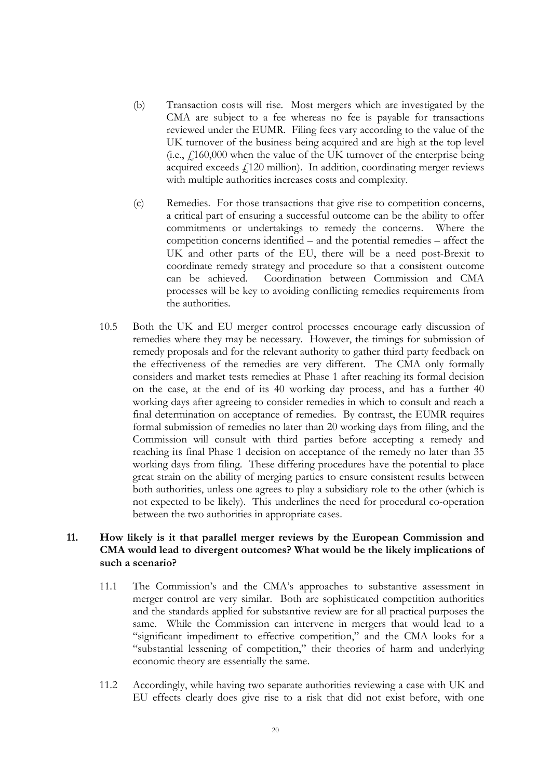- (b) Transaction costs will rise. Most mergers which are investigated by the CMA are subject to a fee whereas no fee is payable for transactions reviewed under the EUMR. Filing fees vary according to the value of the UK turnover of the business being acquired and are high at the top level (i.e.,  $f160,000$  when the value of the UK turnover of the enterprise being acquired exceeds  $f$ 120 million). In addition, coordinating merger reviews with multiple authorities increases costs and complexity.
- (c) Remedies. For those transactions that give rise to competition concerns, a critical part of ensuring a successful outcome can be the ability to offer commitments or undertakings to remedy the concerns. Where the competition concerns identified – and the potential remedies – affect the UK and other parts of the EU, there will be a need post-Brexit to coordinate remedy strategy and procedure so that a consistent outcome can be achieved. Coordination between Commission and CMA processes will be key to avoiding conflicting remedies requirements from the authorities.
- 10.5 Both the UK and EU merger control processes encourage early discussion of remedies where they may be necessary. However, the timings for submission of remedy proposals and for the relevant authority to gather third party feedback on the effectiveness of the remedies are very different. The CMA only formally considers and market tests remedies at Phase 1 after reaching its formal decision on the case, at the end of its 40 working day process, and has a further 40 working days after agreeing to consider remedies in which to consult and reach a final determination on acceptance of remedies. By contrast, the EUMR requires formal submission of remedies no later than 20 working days from filing, and the Commission will consult with third parties before accepting a remedy and reaching its final Phase 1 decision on acceptance of the remedy no later than 35 working days from filing. These differing procedures have the potential to place great strain on the ability of merging parties to ensure consistent results between both authorities, unless one agrees to play a subsidiary role to the other (which is not expected to be likely). This underlines the need for procedural co-operation between the two authorities in appropriate cases.

### **11. How likely is it that parallel merger reviews by the European Commission and CMA would lead to divergent outcomes? What would be the likely implications of such a scenario?**

- 11.1 The Commission's and the CMA's approaches to substantive assessment in merger control are very similar. Both are sophisticated competition authorities and the standards applied for substantive review are for all practical purposes the same. While the Commission can intervene in mergers that would lead to a "significant impediment to effective competition," and the CMA looks for a "substantial lessening of competition," their theories of harm and underlying economic theory are essentially the same.
- 11.2 Accordingly, while having two separate authorities reviewing a case with UK and EU effects clearly does give rise to a risk that did not exist before, with one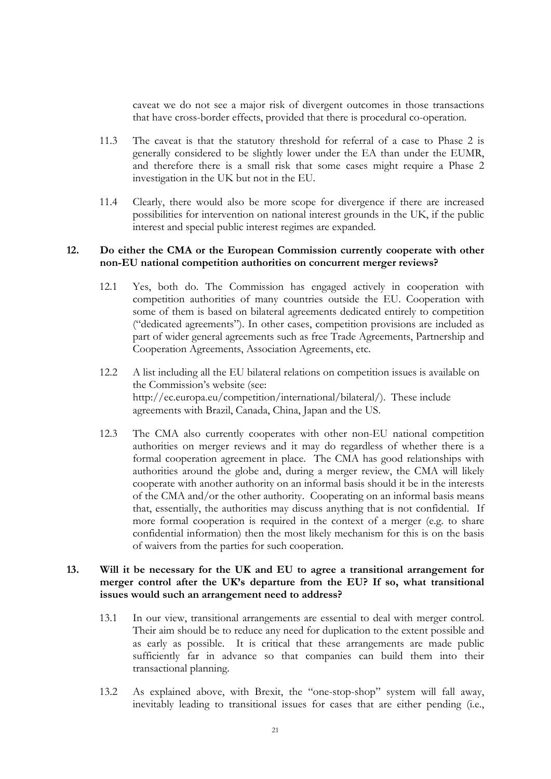caveat we do not see a major risk of divergent outcomes in those transactions that have cross-border effects, provided that there is procedural co-operation.

- 11.3 The caveat is that the statutory threshold for referral of a case to Phase 2 is generally considered to be slightly lower under the EA than under the EUMR, and therefore there is a small risk that some cases might require a Phase 2 investigation in the UK but not in the EU.
- 11.4 Clearly, there would also be more scope for divergence if there are increased possibilities for intervention on national interest grounds in the UK, if the public interest and special public interest regimes are expanded.

### **12. Do either the CMA or the European Commission currently cooperate with other non-EU national competition authorities on concurrent merger reviews?**

- 12.1 Yes, both do. The Commission has engaged actively in cooperation with competition authorities of many countries outside the EU. Cooperation with some of them is based on bilateral agreements dedicated entirely to competition ("dedicated agreements"). In other cases, competition provisions are included as part of wider general agreements such as free Trade Agreements, Partnership and Cooperation Agreements, Association Agreements, etc.
- 12.2 A list including all the EU bilateral relations on competition issues is available on the Commission's website (see: http://ec.europa.eu/competition/international/bilateral/). These include agreements with Brazil, Canada, China, Japan and the US.
- 12.3 The CMA also currently cooperates with other non-EU national competition authorities on merger reviews and it may do regardless of whether there is a formal cooperation agreement in place. The CMA has good relationships with authorities around the globe and, during a merger review, the CMA will likely cooperate with another authority on an informal basis should it be in the interests of the CMA and/or the other authority. Cooperating on an informal basis means that, essentially, the authorities may discuss anything that is not confidential. If more formal cooperation is required in the context of a merger (e.g. to share confidential information) then the most likely mechanism for this is on the basis of waivers from the parties for such cooperation.

### **13. Will it be necessary for the UK and EU to agree a transitional arrangement for merger control after the UK's departure from the EU? If so, what transitional issues would such an arrangement need to address?**

- 13.1 In our view, transitional arrangements are essential to deal with merger control. Their aim should be to reduce any need for duplication to the extent possible and as early as possible. It is critical that these arrangements are made public sufficiently far in advance so that companies can build them into their transactional planning.
- 13.2 As explained above, with Brexit, the "one-stop-shop" system will fall away, inevitably leading to transitional issues for cases that are either pending (i.e.,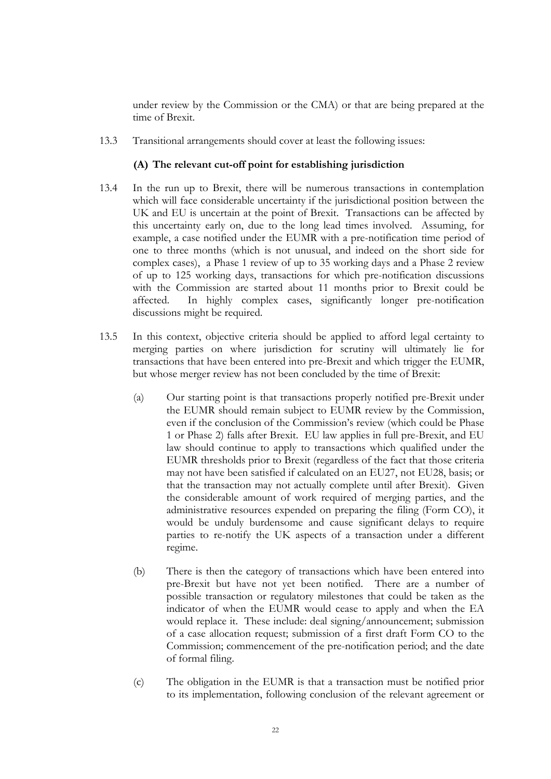under review by the Commission or the CMA) or that are being prepared at the time of Brexit.

13.3 Transitional arrangements should cover at least the following issues:

### **(A) The relevant cut-off point for establishing jurisdiction**

- 13.4 In the run up to Brexit, there will be numerous transactions in contemplation which will face considerable uncertainty if the jurisdictional position between the UK and EU is uncertain at the point of Brexit. Transactions can be affected by this uncertainty early on, due to the long lead times involved. Assuming, for example, a case notified under the EUMR with a pre-notification time period of one to three months (which is not unusual, and indeed on the short side for complex cases), a Phase 1 review of up to 35 working days and a Phase 2 review of up to 125 working days, transactions for which pre-notification discussions with the Commission are started about 11 months prior to Brexit could be affected. In highly complex cases, significantly longer pre-notification discussions might be required.
- 13.5 In this context, objective criteria should be applied to afford legal certainty to merging parties on where jurisdiction for scrutiny will ultimately lie for transactions that have been entered into pre-Brexit and which trigger the EUMR, but whose merger review has not been concluded by the time of Brexit:
	- (a) Our starting point is that transactions properly notified pre-Brexit under the EUMR should remain subject to EUMR review by the Commission, even if the conclusion of the Commission's review (which could be Phase 1 or Phase 2) falls after Brexit. EU law applies in full pre-Brexit, and EU law should continue to apply to transactions which qualified under the EUMR thresholds prior to Brexit (regardless of the fact that those criteria may not have been satisfied if calculated on an EU27, not EU28, basis; or that the transaction may not actually complete until after Brexit). Given the considerable amount of work required of merging parties, and the administrative resources expended on preparing the filing (Form CO), it would be unduly burdensome and cause significant delays to require parties to re-notify the UK aspects of a transaction under a different regime.
	- (b) There is then the category of transactions which have been entered into pre-Brexit but have not yet been notified. There are a number of possible transaction or regulatory milestones that could be taken as the indicator of when the EUMR would cease to apply and when the EA would replace it. These include: deal signing/announcement; submission of a case allocation request; submission of a first draft Form CO to the Commission; commencement of the pre-notification period; and the date of formal filing.
	- (c) The obligation in the EUMR is that a transaction must be notified prior to its implementation, following conclusion of the relevant agreement or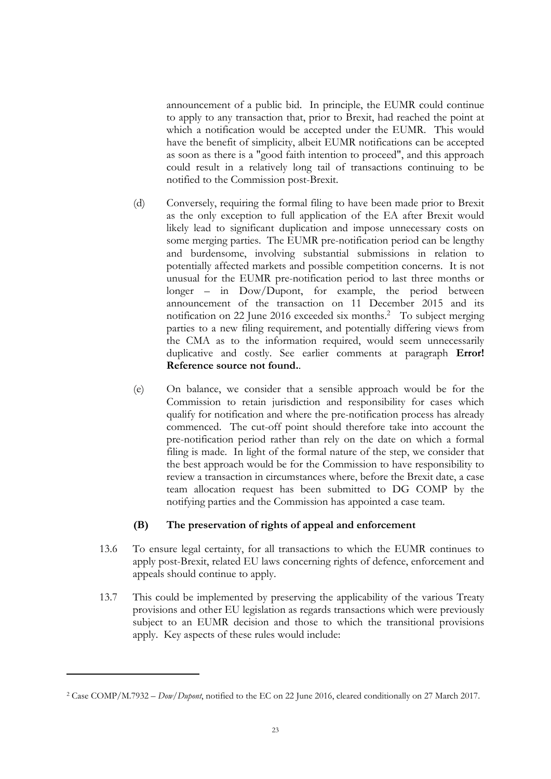announcement of a public bid. In principle, the EUMR could continue to apply to any transaction that, prior to Brexit, had reached the point at which a notification would be accepted under the EUMR. This would have the benefit of simplicity, albeit EUMR notifications can be accepted as soon as there is a "good faith intention to proceed", and this approach could result in a relatively long tail of transactions continuing to be notified to the Commission post-Brexit.

- (d) Conversely, requiring the formal filing to have been made prior to Brexit as the only exception to full application of the EA after Brexit would likely lead to significant duplication and impose unnecessary costs on some merging parties. The EUMR pre-notification period can be lengthy and burdensome, involving substantial submissions in relation to potentially affected markets and possible competition concerns. It is not unusual for the EUMR pre-notification period to last three months or longer – in Dow/Dupont, for example, the period between announcement of the transaction on 11 December 2015 and its notification on 22 June 2016 exceeded six months.<sup>2</sup> To subject merging parties to a new filing requirement, and potentially differing views from the CMA as to the information required, would seem unnecessarily duplicative and costly. See earlier comments at paragraph **Error! Reference source not found.**.
- (e) On balance, we consider that a sensible approach would be for the Commission to retain jurisdiction and responsibility for cases which qualify for notification and where the pre-notification process has already commenced. The cut-off point should therefore take into account the pre-notification period rather than rely on the date on which a formal filing is made. In light of the formal nature of the step, we consider that the best approach would be for the Commission to have responsibility to review a transaction in circumstances where, before the Brexit date, a case team allocation request has been submitted to DG COMP by the notifying parties and the Commission has appointed a case team.

## **(B) The preservation of rights of appeal and enforcement**

- 13.6 To ensure legal certainty, for all transactions to which the EUMR continues to apply post-Brexit, related EU laws concerning rights of defence, enforcement and appeals should continue to apply.
- 13.7 This could be implemented by preserving the applicability of the various Treaty provisions and other EU legislation as regards transactions which were previously subject to an EUMR decision and those to which the transitional provisions apply. Key aspects of these rules would include:

<sup>2</sup> Case COMP/M.7932 – *Dow/Dupont*, notified to the EC on 22 June 2016, cleared conditionally on 27 March 2017.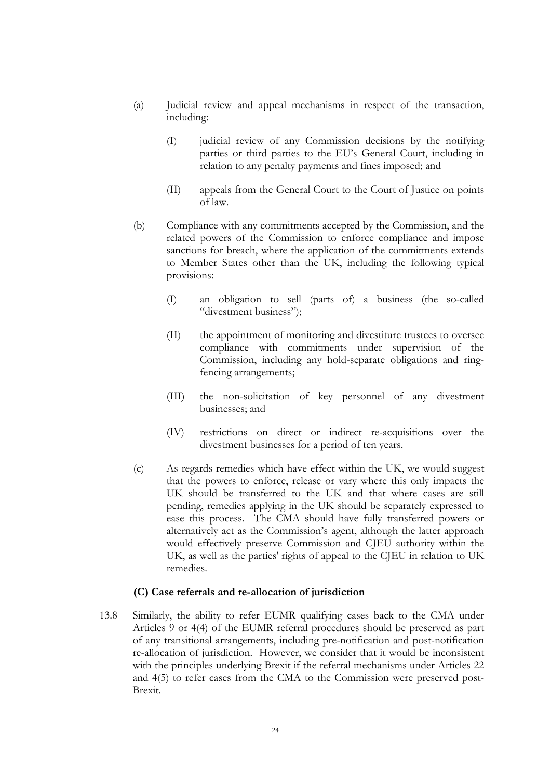- (a) Judicial review and appeal mechanisms in respect of the transaction, including:
	- (I) judicial review of any Commission decisions by the notifying parties or third parties to the EU's General Court, including in relation to any penalty payments and fines imposed; and
	- (II) appeals from the General Court to the Court of Justice on points of law.
- (b) Compliance with any commitments accepted by the Commission, and the related powers of the Commission to enforce compliance and impose sanctions for breach, where the application of the commitments extends to Member States other than the UK, including the following typical provisions:
	- (I) an obligation to sell (parts of) a business (the so-called "divestment business");
	- (II) the appointment of monitoring and divestiture trustees to oversee compliance with commitments under supervision of the Commission, including any hold-separate obligations and ringfencing arrangements;
	- (III) the non-solicitation of key personnel of any divestment businesses; and
	- (IV) restrictions on direct or indirect re-acquisitions over the divestment businesses for a period of ten years.
- (c) As regards remedies which have effect within the UK, we would suggest that the powers to enforce, release or vary where this only impacts the UK should be transferred to the UK and that where cases are still pending, remedies applying in the UK should be separately expressed to ease this process. The CMA should have fully transferred powers or alternatively act as the Commission's agent, although the latter approach would effectively preserve Commission and CJEU authority within the UK, as well as the parties' rights of appeal to the CJEU in relation to UK remedies.

#### **(C) Case referrals and re-allocation of jurisdiction**

13.8 Similarly, the ability to refer EUMR qualifying cases back to the CMA under Articles 9 or 4(4) of the EUMR referral procedures should be preserved as part of any transitional arrangements, including pre-notification and post-notification re-allocation of jurisdiction. However, we consider that it would be inconsistent with the principles underlying Brexit if the referral mechanisms under Articles 22 and 4(5) to refer cases from the CMA to the Commission were preserved post-Brexit.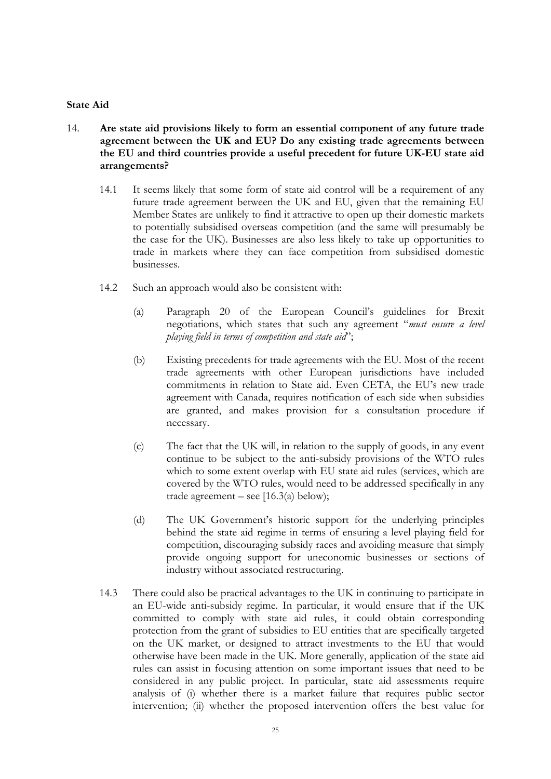#### **State Aid**

- 14. **Are state aid provisions likely to form an essential component of any future trade agreement between the UK and EU? Do any existing trade agreements between the EU and third countries provide a useful precedent for future UK-EU state aid arrangements?**
	- 14.1 It seems likely that some form of state aid control will be a requirement of any future trade agreement between the UK and EU, given that the remaining EU Member States are unlikely to find it attractive to open up their domestic markets to potentially subsidised overseas competition (and the same will presumably be the case for the UK). Businesses are also less likely to take up opportunities to trade in markets where they can face competition from subsidised domestic businesses.
	- 14.2 Such an approach would also be consistent with:
		- (a) Paragraph 20 of the European Council's guidelines for Brexit negotiations, which states that such any agreement "*must ensure a level playing field in terms of competition and state aid*";
		- (b) Existing precedents for trade agreements with the EU. Most of the recent trade agreements with other European jurisdictions have included commitments in relation to State aid. Even CETA, the EU's new trade agreement with Canada, requires notification of each side when subsidies are granted, and makes provision for a consultation procedure if necessary.
		- (c) The fact that the UK will, in relation to the supply of goods, in any event continue to be subject to the anti-subsidy provisions of the WTO rules which to some extent overlap with EU state aid rules (services, which are covered by the WTO rules, would need to be addressed specifically in any trade agreement – see  $[16.3(a)$  below);
		- (d) The UK Government's historic support for the underlying principles behind the state aid regime in terms of ensuring a level playing field for competition, discouraging subsidy races and avoiding measure that simply provide ongoing support for uneconomic businesses or sections of industry without associated restructuring.
	- 14.3 There could also be practical advantages to the UK in continuing to participate in an EU-wide anti-subsidy regime. In particular, it would ensure that if the UK committed to comply with state aid rules, it could obtain corresponding protection from the grant of subsidies to EU entities that are specifically targeted on the UK market, or designed to attract investments to the EU that would otherwise have been made in the UK. More generally, application of the state aid rules can assist in focusing attention on some important issues that need to be considered in any public project. In particular, state aid assessments require analysis of (i) whether there is a market failure that requires public sector intervention; (ii) whether the proposed intervention offers the best value for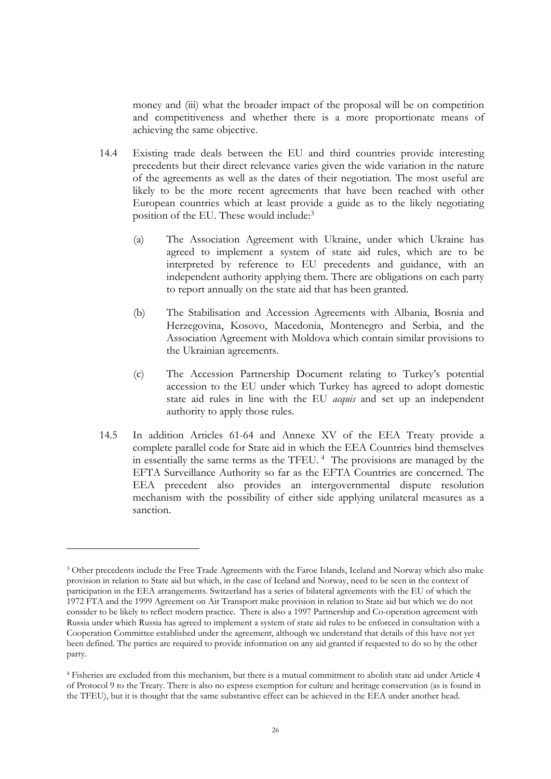money and (iii) what the broader impact of the proposal will be on competition and competitiveness and whether there is a more proportionate means of achieving the same objective.

- 14.4 Existing trade deals between the EU and third countries provide interesting precedents but their direct relevance varies given the wide variation in the nature of the agreements as well as the dates of their negotiation. The most useful are likely to be the more recent agreements that have been reached with other European countries which at least provide a guide as to the likely negotiating position of the EU. These would include:<sup>3</sup>
	- (a) The Association Agreement with Ukraine, under which Ukraine has agreed to implement a system of state aid rules, which are to be interpreted by reference to EU precedents and guidance, with an independent authority applying them. There are obligations on each party to report annually on the state aid that has been granted.
	- (b) The Stabilisation and Accession Agreements with Albania, Bosnia and Herzegovina, Kosovo, Macedonia, Montenegro and Serbia, and the Association Agreement with Moldova which contain similar provisions to the Ukrainian agreements.
	- (c) The Accession Partnership Document relating to Turkey's potential accession to the EU under which Turkey has agreed to adopt domestic state aid rules in line with the EU *acquis* and set up an independent authority to apply those rules.
- 14.5 In addition Articles 61-64 and Annexe XV of the EEA Treaty provide a complete parallel code for State aid in which the EEA Countries bind themselves in essentially the same terms as the TFEU.<sup>4</sup> The provisions are managed by the EFTA Surveillance Authority so far as the EFTA Countries are concerned. The EEA precedent also provides an intergovernmental dispute resolution mechanism with the possibility of either side applying unilateral measures as a sanction.

<sup>&</sup>lt;sup>3</sup> Other precedents include the Free Trade Agreements with the Faroe Islands, Iceland and Norway which also make provision in relation to State aid but which, in the case of Iceland and Norway, need to be seen in the context of participation in the EEA arrangements. Switzerland has a series of bilateral agreements with the EU of which the 1972 FTA and the 1999 Agreement on Air Transport make provision in relation to State aid but which we do not consider to be likely to reflect modern practice. There is also a 1997 Partnership and Co-operation agreement with Russia under which Russia has agreed to implement a system of state aid rules to be enforced in consultation with a Cooperation Committee established under the agreement, although we understand that details of this have not yet been defined. The parties are required to provide information on any aid granted if requested to do so by the other party.

<sup>4</sup> Fisheries are excluded from this mechanism, but there is a mutual commitment to abolish state aid under Article 4 of Protocol 9 to the Treaty. There is also no express exemption for culture and heritage conservation (as is found in the TFEU), but it is thought that the same substantive effect can be achieved in the EEA under another head.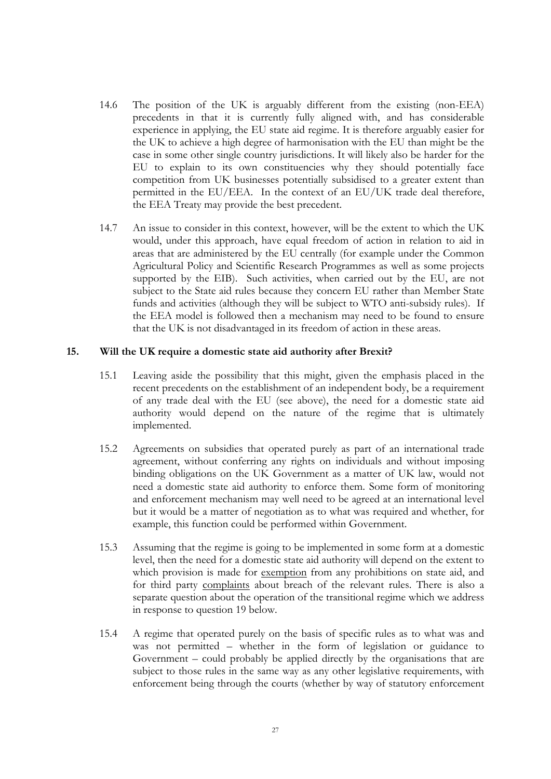- 14.6 The position of the UK is arguably different from the existing (non-EEA) precedents in that it is currently fully aligned with, and has considerable experience in applying, the EU state aid regime. It is therefore arguably easier for the UK to achieve a high degree of harmonisation with the EU than might be the case in some other single country jurisdictions. It will likely also be harder for the EU to explain to its own constituencies why they should potentially face competition from UK businesses potentially subsidised to a greater extent than permitted in the EU/EEA. In the context of an EU/UK trade deal therefore, the EEA Treaty may provide the best precedent.
- 14.7 An issue to consider in this context, however, will be the extent to which the UK would, under this approach, have equal freedom of action in relation to aid in areas that are administered by the EU centrally (for example under the Common Agricultural Policy and Scientific Research Programmes as well as some projects supported by the EIB). Such activities, when carried out by the EU, are not subject to the State aid rules because they concern EU rather than Member State funds and activities (although they will be subject to WTO anti-subsidy rules). If the EEA model is followed then a mechanism may need to be found to ensure that the UK is not disadvantaged in its freedom of action in these areas.

#### **15. Will the UK require a domestic state aid authority after Brexit?**

- 15.1 Leaving aside the possibility that this might, given the emphasis placed in the recent precedents on the establishment of an independent body, be a requirement of any trade deal with the EU (see above), the need for a domestic state aid authority would depend on the nature of the regime that is ultimately implemented.
- 15.2 Agreements on subsidies that operated purely as part of an international trade agreement, without conferring any rights on individuals and without imposing binding obligations on the UK Government as a matter of UK law, would not need a domestic state aid authority to enforce them. Some form of monitoring and enforcement mechanism may well need to be agreed at an international level but it would be a matter of negotiation as to what was required and whether, for example, this function could be performed within Government.
- 15.3 Assuming that the regime is going to be implemented in some form at a domestic level, then the need for a domestic state aid authority will depend on the extent to which provision is made for exemption from any prohibitions on state aid, and for third party complaints about breach of the relevant rules. There is also a separate question about the operation of the transitional regime which we address in response to question 19 below.
- 15.4 A regime that operated purely on the basis of specific rules as to what was and was not permitted – whether in the form of legislation or guidance to Government – could probably be applied directly by the organisations that are subject to those rules in the same way as any other legislative requirements, with enforcement being through the courts (whether by way of statutory enforcement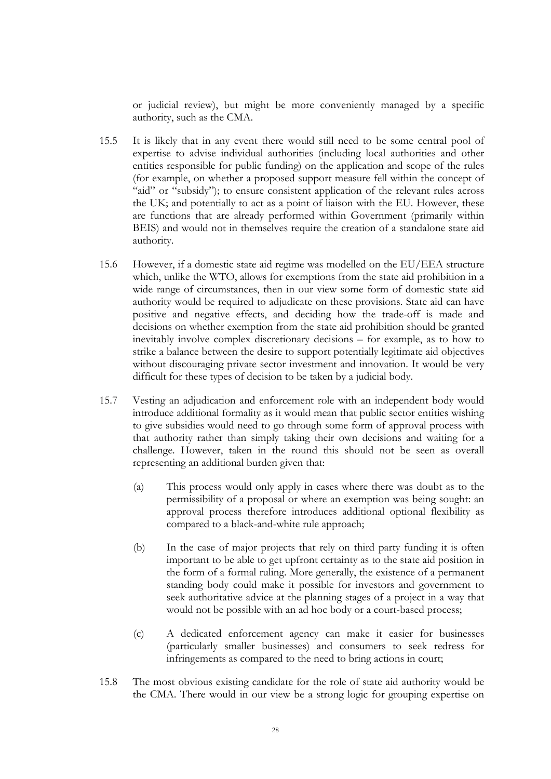or judicial review), but might be more conveniently managed by a specific authority, such as the CMA.

- 15.5 It is likely that in any event there would still need to be some central pool of expertise to advise individual authorities (including local authorities and other entities responsible for public funding) on the application and scope of the rules (for example, on whether a proposed support measure fell within the concept of "aid" or "subsidy"); to ensure consistent application of the relevant rules across the UK; and potentially to act as a point of liaison with the EU. However, these are functions that are already performed within Government (primarily within BEIS) and would not in themselves require the creation of a standalone state aid authority.
- 15.6 However, if a domestic state aid regime was modelled on the EU/EEA structure which, unlike the WTO, allows for exemptions from the state aid prohibition in a wide range of circumstances, then in our view some form of domestic state aid authority would be required to adjudicate on these provisions. State aid can have positive and negative effects, and deciding how the trade-off is made and decisions on whether exemption from the state aid prohibition should be granted inevitably involve complex discretionary decisions – for example, as to how to strike a balance between the desire to support potentially legitimate aid objectives without discouraging private sector investment and innovation. It would be very difficult for these types of decision to be taken by a judicial body.
- 15.7 Vesting an adjudication and enforcement role with an independent body would introduce additional formality as it would mean that public sector entities wishing to give subsidies would need to go through some form of approval process with that authority rather than simply taking their own decisions and waiting for a challenge. However, taken in the round this should not be seen as overall representing an additional burden given that:
	- (a) This process would only apply in cases where there was doubt as to the permissibility of a proposal or where an exemption was being sought: an approval process therefore introduces additional optional flexibility as compared to a black-and-white rule approach;
	- (b) In the case of major projects that rely on third party funding it is often important to be able to get upfront certainty as to the state aid position in the form of a formal ruling. More generally, the existence of a permanent standing body could make it possible for investors and government to seek authoritative advice at the planning stages of a project in a way that would not be possible with an ad hoc body or a court-based process;
	- (c) A dedicated enforcement agency can make it easier for businesses (particularly smaller businesses) and consumers to seek redress for infringements as compared to the need to bring actions in court;
- 15.8 The most obvious existing candidate for the role of state aid authority would be the CMA. There would in our view be a strong logic for grouping expertise on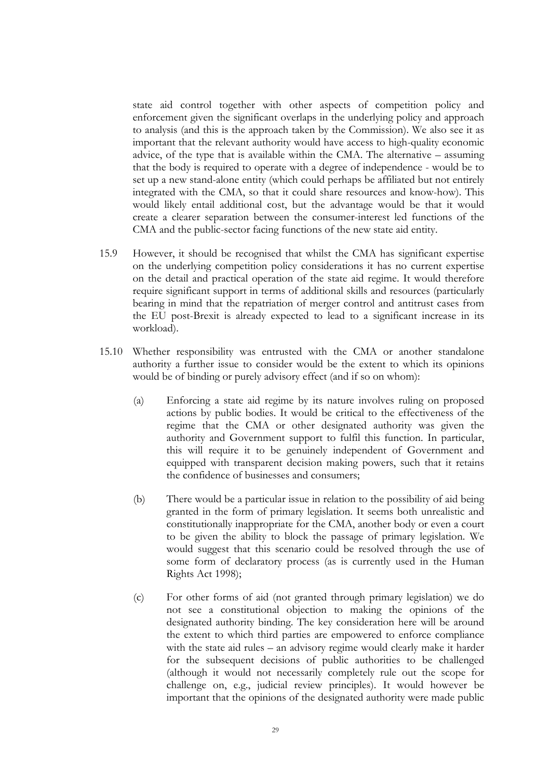state aid control together with other aspects of competition policy and enforcement given the significant overlaps in the underlying policy and approach to analysis (and this is the approach taken by the Commission). We also see it as important that the relevant authority would have access to high-quality economic advice, of the type that is available within the CMA. The alternative – assuming that the body is required to operate with a degree of independence - would be to set up a new stand-alone entity (which could perhaps be affiliated but not entirely integrated with the CMA, so that it could share resources and know-how). This would likely entail additional cost, but the advantage would be that it would create a clearer separation between the consumer-interest led functions of the CMA and the public-sector facing functions of the new state aid entity.

- 15.9 However, it should be recognised that whilst the CMA has significant expertise on the underlying competition policy considerations it has no current expertise on the detail and practical operation of the state aid regime. It would therefore require significant support in terms of additional skills and resources (particularly bearing in mind that the repatriation of merger control and antitrust cases from the EU post-Brexit is already expected to lead to a significant increase in its workload).
- 15.10 Whether responsibility was entrusted with the CMA or another standalone authority a further issue to consider would be the extent to which its opinions would be of binding or purely advisory effect (and if so on whom):
	- (a) Enforcing a state aid regime by its nature involves ruling on proposed actions by public bodies. It would be critical to the effectiveness of the regime that the CMA or other designated authority was given the authority and Government support to fulfil this function. In particular, this will require it to be genuinely independent of Government and equipped with transparent decision making powers, such that it retains the confidence of businesses and consumers;
	- (b) There would be a particular issue in relation to the possibility of aid being granted in the form of primary legislation. It seems both unrealistic and constitutionally inappropriate for the CMA, another body or even a court to be given the ability to block the passage of primary legislation. We would suggest that this scenario could be resolved through the use of some form of declaratory process (as is currently used in the Human Rights Act 1998);
	- (c) For other forms of aid (not granted through primary legislation) we do not see a constitutional objection to making the opinions of the designated authority binding. The key consideration here will be around the extent to which third parties are empowered to enforce compliance with the state aid rules – an advisory regime would clearly make it harder for the subsequent decisions of public authorities to be challenged (although it would not necessarily completely rule out the scope for challenge on, e.g., judicial review principles). It would however be important that the opinions of the designated authority were made public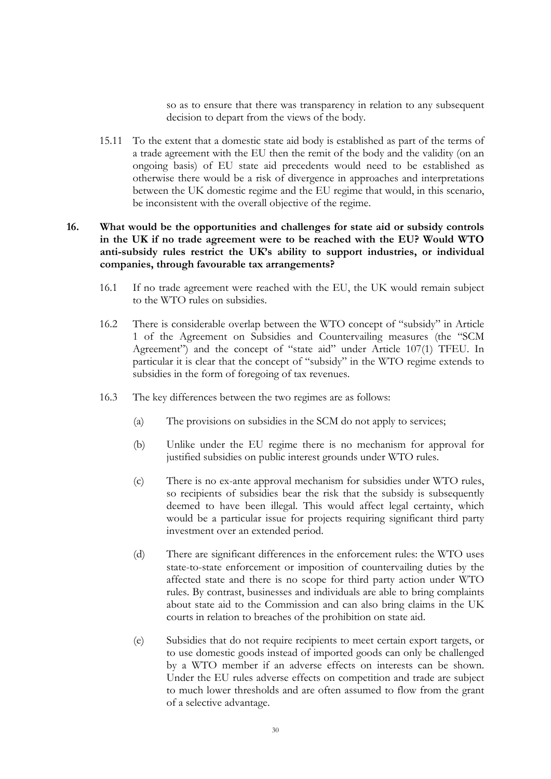so as to ensure that there was transparency in relation to any subsequent decision to depart from the views of the body.

15.11 To the extent that a domestic state aid body is established as part of the terms of a trade agreement with the EU then the remit of the body and the validity (on an ongoing basis) of EU state aid precedents would need to be established as otherwise there would be a risk of divergence in approaches and interpretations between the UK domestic regime and the EU regime that would, in this scenario, be inconsistent with the overall objective of the regime.

## **16. What would be the opportunities and challenges for state aid or subsidy controls in the UK if no trade agreement were to be reached with the EU? Would WTO anti-subsidy rules restrict the UK's ability to support industries, or individual companies, through favourable tax arrangements?**

- 16.1 If no trade agreement were reached with the EU, the UK would remain subject to the WTO rules on subsidies.
- 16.2 There is considerable overlap between the WTO concept of "subsidy" in Article 1 of the Agreement on Subsidies and Countervailing measures (the "SCM Agreement") and the concept of "state aid" under Article 107(1) TFEU. In particular it is clear that the concept of "subsidy" in the WTO regime extends to subsidies in the form of foregoing of tax revenues.
- <span id="page-30-1"></span><span id="page-30-0"></span>16.3 The key differences between the two regimes are as follows:
	- (a) The provisions on subsidies in the SCM do not apply to services;
	- (b) Unlike under the EU regime there is no mechanism for approval for justified subsidies on public interest grounds under WTO rules.
	- (c) There is no ex-ante approval mechanism for subsidies under WTO rules, so recipients of subsidies bear the risk that the subsidy is subsequently deemed to have been illegal. This would affect legal certainty, which would be a particular issue for projects requiring significant third party investment over an extended period.
	- (d) There are significant differences in the enforcement rules: the WTO uses state-to-state enforcement or imposition of countervailing duties by the affected state and there is no scope for third party action under WTO rules. By contrast, businesses and individuals are able to bring complaints about state aid to the Commission and can also bring claims in the UK courts in relation to breaches of the prohibition on state aid.
	- (e) Subsidies that do not require recipients to meet certain export targets, or to use domestic goods instead of imported goods can only be challenged by a WTO member if an adverse effects on interests can be shown. Under the EU rules adverse effects on competition and trade are subject to much lower thresholds and are often assumed to flow from the grant of a selective advantage.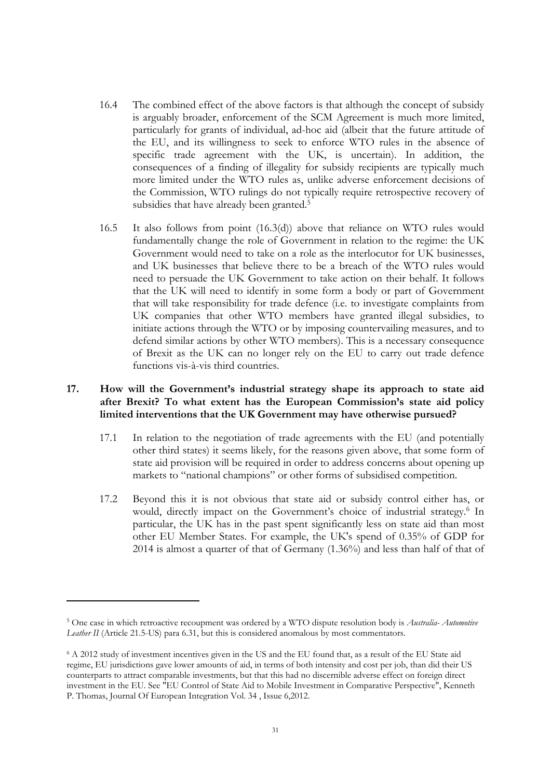- 16.4 The combined effect of the above factors is that although the concept of subsidy is arguably broader, enforcement of the SCM Agreement is much more limited, particularly for grants of individual, ad-hoc aid (albeit that the future attitude of the EU, and its willingness to seek to enforce WTO rules in the absence of specific trade agreement with the UK, is uncertain). In addition, the consequences of a finding of illegality for subsidy recipients are typically much more limited under the WTO rules as, unlike adverse enforcement decisions of the Commission, WTO rulings do not typically require retrospective recovery of subsidies that have already been granted.<sup>5</sup>
- 16.5 It also follows from point [\(16.3\(d\)\)](#page-30-1) above that reliance on WTO rules would fundamentally change the role of Government in relation to the regime: the UK Government would need to take on a role as the interlocutor for UK businesses, and UK businesses that believe there to be a breach of the WTO rules would need to persuade the UK Government to take action on their behalf. It follows that the UK will need to identify in some form a body or part of Government that will take responsibility for trade defence (i.e. to investigate complaints from UK companies that other WTO members have granted illegal subsidies, to initiate actions through the WTO or by imposing countervailing measures, and to defend similar actions by other WTO members). This is a necessary consequence of Brexit as the UK can no longer rely on the EU to carry out trade defence functions vis-à-vis third countries.

## **17. How will the Government's industrial strategy shape its approach to state aid after Brexit? To what extent has the European Commission's state aid policy limited interventions that the UK Government may have otherwise pursued?**

- 17.1 In relation to the negotiation of trade agreements with the EU (and potentially other third states) it seems likely, for the reasons given above, that some form of state aid provision will be required in order to address concerns about opening up markets to "national champions" or other forms of subsidised competition.
- 17.2 Beyond this it is not obvious that state aid or subsidy control either has, or would, directly impact on the Government's choice of industrial strategy.<sup>6</sup> In particular, the UK has in the past spent significantly less on state aid than most other EU Member States. For example, the UK's spend of 0.35% of GDP for 2014 is almost a quarter of that of Germany (1.36%) and less than half of that of

<sup>5</sup> One case in which retroactive recoupment was ordered by a WTO dispute resolution body is *Australia- Automotive Leather II* (Article 21.5-US) para 6.31, but this is considered anomalous by most commentators.

<sup>6</sup> A 2012 study of investment incentives given in the US and the EU found that, as a result of the EU State aid regime, EU jurisdictions gave lower amounts of aid, in terms of both intensity and cost per job, than did their US counterparts to attract comparable investments, but that this had no discernible adverse effect on foreign direct investment in the EU. See "EU Control of State Aid to Mobile Investment in Comparative Perspective", Kenneth P. Thomas, Journal Of European Integration Vol. 34 , Issue 6,2012.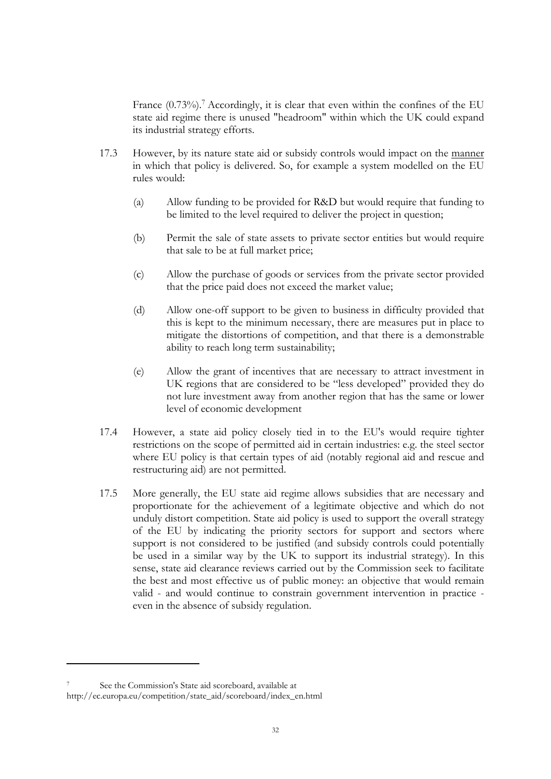France  $(0.73\%)$ . Accordingly, it is clear that even within the confines of the EU state aid regime there is unused "headroom" within which the UK could expand its industrial strategy efforts.

- 17.3 However, by its nature state aid or subsidy controls would impact on the manner in which that policy is delivered. So, for example a system modelled on the EU rules would:
	- (a) Allow funding to be provided for R&D but would require that funding to be limited to the level required to deliver the project in question;
	- (b) Permit the sale of state assets to private sector entities but would require that sale to be at full market price;
	- (c) Allow the purchase of goods or services from the private sector provided that the price paid does not exceed the market value;
	- (d) Allow one-off support to be given to business in difficulty provided that this is kept to the minimum necessary, there are measures put in place to mitigate the distortions of competition, and that there is a demonstrable ability to reach long term sustainability;
	- (e) Allow the grant of incentives that are necessary to attract investment in UK regions that are considered to be "less developed" provided they do not lure investment away from another region that has the same or lower level of economic development
- 17.4 However, a state aid policy closely tied in to the EU's would require tighter restrictions on the scope of permitted aid in certain industries: e.g. the steel sector where EU policy is that certain types of aid (notably regional aid and rescue and restructuring aid) are not permitted.
- 17.5 More generally, the EU state aid regime allows subsidies that are necessary and proportionate for the achievement of a legitimate objective and which do not unduly distort competition. State aid policy is used to support the overall strategy of the EU by indicating the priority sectors for support and sectors where support is not considered to be justified (and subsidy controls could potentially be used in a similar way by the UK to support its industrial strategy). In this sense, state aid clearance reviews carried out by the Commission seek to facilitate the best and most effective us of public money: an objective that would remain valid - and would continue to constrain government intervention in practice even in the absence of subsidy regulation.

<sup>7</sup> See the Commission's State aid scoreboard, available at http://ec.europa.eu/competition/state\_aid/scoreboard/index\_en.html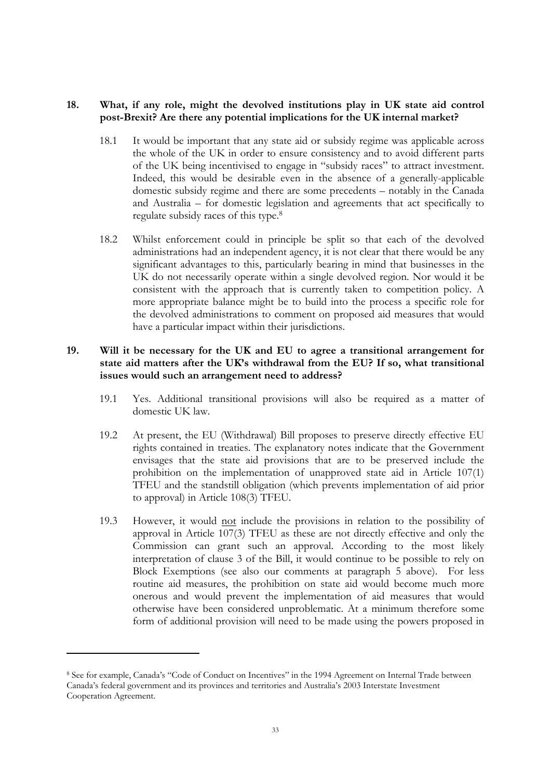## **18. What, if any role, might the devolved institutions play in UK state aid control post-Brexit? Are there any potential implications for the UK internal market?**

- 18.1 It would be important that any state aid or subsidy regime was applicable across the whole of the UK in order to ensure consistency and to avoid different parts of the UK being incentivised to engage in "subsidy races" to attract investment. Indeed, this would be desirable even in the absence of a generally-applicable domestic subsidy regime and there are some precedents – notably in the Canada and Australia – for domestic legislation and agreements that act specifically to regulate subsidy races of this type.<sup>8</sup>
- 18.2 Whilst enforcement could in principle be split so that each of the devolved administrations had an independent agency, it is not clear that there would be any significant advantages to this, particularly bearing in mind that businesses in the UK do not necessarily operate within a single devolved region. Nor would it be consistent with the approach that is currently taken to competition policy. A more appropriate balance might be to build into the process a specific role for the devolved administrations to comment on proposed aid measures that would have a particular impact within their jurisdictions.

## **19. Will it be necessary for the UK and EU to agree a transitional arrangement for state aid matters after the UK's withdrawal from the EU? If so, what transitional issues would such an arrangement need to address?**

- 19.1 Yes. Additional transitional provisions will also be required as a matter of domestic UK law.
- 19.2 At present, the EU (Withdrawal) Bill proposes to preserve directly effective EU rights contained in treaties. The explanatory notes indicate that the Government envisages that the state aid provisions that are to be preserved include the prohibition on the implementation of unapproved state aid in Article 107(1) TFEU and the standstill obligation (which prevents implementation of aid prior to approval) in Article 108(3) TFEU.
- 19.3 However, it would not include the provisions in relation to the possibility of approval in Article 107(3) TFEU as these are not directly effective and only the Commission can grant such an approval. According to the most likely interpretation of clause 3 of the Bill, it would continue to be possible to rely on Block Exemptions (see also our comments at paragraph [5](#page-9-0) above). For less routine aid measures, the prohibition on state aid would become much more onerous and would prevent the implementation of aid measures that would otherwise have been considered unproblematic. At a minimum therefore some form of additional provision will need to be made using the powers proposed in

<sup>8</sup> See for example, Canada's "Code of Conduct on Incentives" in the 1994 Agreement on Internal Trade between Canada's federal government and its provinces and territories and Australia's 2003 Interstate Investment Cooperation Agreement.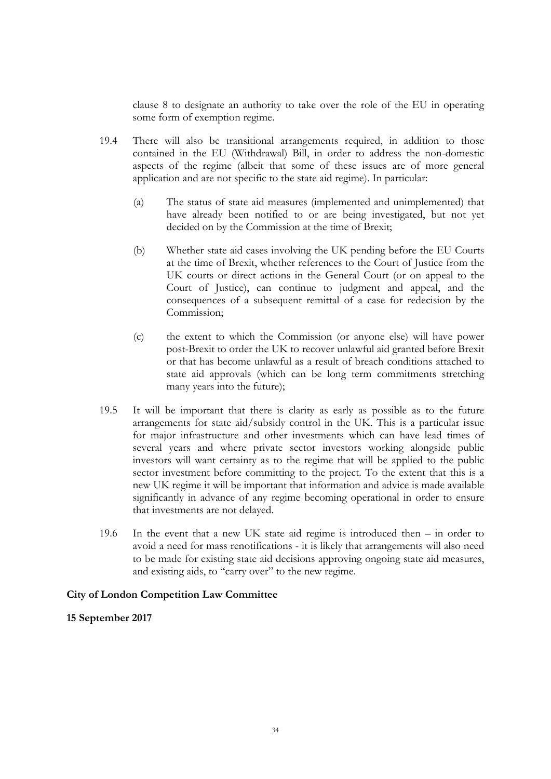clause [8](#page-15-0) to designate an authority to take over the role of the EU in operating some form of exemption regime.

- 19.4 There will also be transitional arrangements required, in addition to those contained in the EU (Withdrawal) Bill, in order to address the non-domestic aspects of the regime (albeit that some of these issues are of more general application and are not specific to the state aid regime). In particular:
	- (a) The status of state aid measures (implemented and unimplemented) that have already been notified to or are being investigated, but not yet decided on by the Commission at the time of Brexit;
	- (b) Whether state aid cases involving the UK pending before the EU Courts at the time of Brexit, whether references to the Court of Justice from the UK courts or direct actions in the General Court (or on appeal to the Court of Justice), can continue to judgment and appeal, and the consequences of a subsequent remittal of a case for redecision by the Commission;
	- (c) the extent to which the Commission (or anyone else) will have power post-Brexit to order the UK to recover unlawful aid granted before Brexit or that has become unlawful as a result of breach conditions attached to state aid approvals (which can be long term commitments stretching many years into the future);
- 19.5 It will be important that there is clarity as early as possible as to the future arrangements for state aid/subsidy control in the UK. This is a particular issue for major infrastructure and other investments which can have lead times of several years and where private sector investors working alongside public investors will want certainty as to the regime that will be applied to the public sector investment before committing to the project. To the extent that this is a new UK regime it will be important that information and advice is made available significantly in advance of any regime becoming operational in order to ensure that investments are not delayed.
- 19.6 In the event that a new UK state aid regime is introduced then in order to avoid a need for mass renotifications - it is likely that arrangements will also need to be made for existing state aid decisions approving ongoing state aid measures, and existing aids, to "carry over" to the new regime.

#### **City of London Competition Law Committee**

#### **15 September 2017**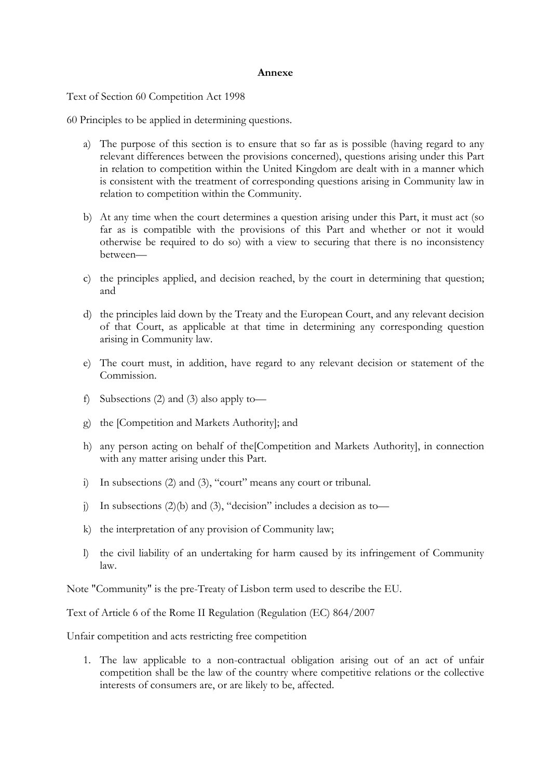#### **Annexe**

Text of Section 60 Competition Act 1998

60 Principles to be applied in determining questions.

- a) The purpose of this section is to ensure that so far as is possible (having regard to any relevant differences between the provisions concerned), questions arising under this Part in relation to competition within the United Kingdom are dealt with in a manner which is consistent with the treatment of corresponding questions arising in Community law in relation to competition within the Community.
- b) At any time when the court determines a question arising under this Part, it must act (so far as is compatible with the provisions of this Part and whether or not it would otherwise be required to do so) with a view to securing that there is no inconsistency between—
- c) the principles applied, and decision reached, by the court in determining that question; and
- d) the principles laid down by the Treaty and the European Court, and any relevant decision of that Court, as applicable at that time in determining any corresponding question arising in Community law.
- e) The court must, in addition, have regard to any relevant decision or statement of the Commission.
- f) Subsections (2) and (3) also apply to—
- g) the [Competition and Markets Authority]; and
- h) any person acting on behalf of the[Competition and Markets Authority], in connection with any matter arising under this Part.
- i) In subsections (2) and (3), "court" means any court or tribunal.
- j) In subsections  $(2)(b)$  and  $(3)$ , "decision" includes a decision as to-
- k) the interpretation of any provision of Community law;
- l) the civil liability of an undertaking for harm caused by its infringement of Community law.

Note "Community" is the pre-Treaty of Lisbon term used to describe the EU.

Text of Article 6 of the Rome II Regulation (Regulation (EC) 864/2007

Unfair competition and acts restricting free competition

1. The law applicable to a non-contractual obligation arising out of an act of unfair competition shall be the law of the country where competitive relations or the collective interests of consumers are, or are likely to be, affected.